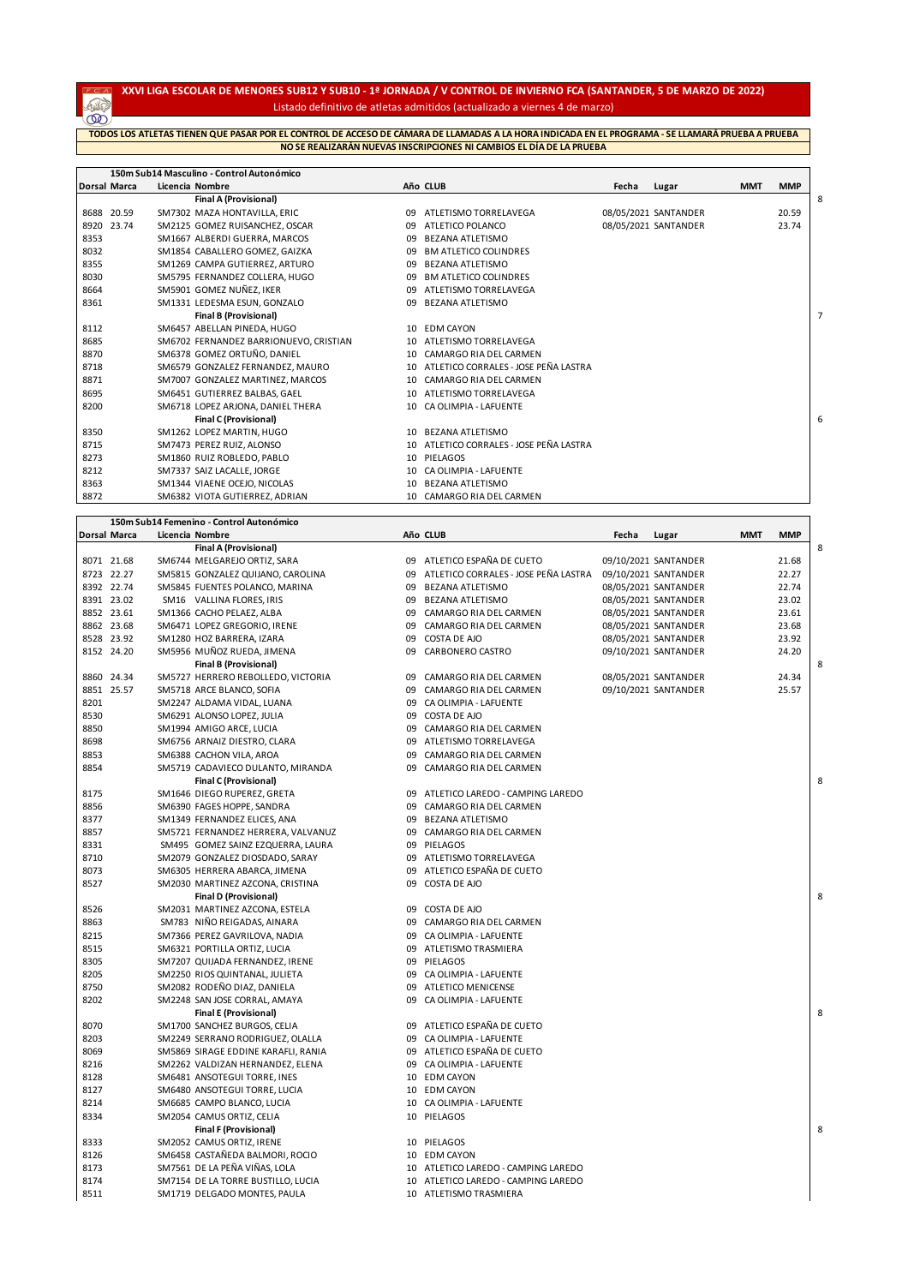## **XXVI LIGA ESCOLAR DE MENORES SUB12 Y SUB10 - 1ª JORNADA / V CONTROL DE INVIERNO FCA (SANTANDER, 5 DE MARZO DE 2022)** Listado definitivo de atletas admitidos (actualizado a viernes 4 de marzo)

**REA TODOS LOS ATLETAS TIENEN QUE PASAR POR EL CONTROL DE ACCESO DE CÁMARA DE LLAMADAS A LA HORA INDICADA EN EL PROGRAMA - SE LLAMARÁ PRUEBA A PRUEBANO SE REALIZARÁN NUEVAS INSCRIPCIONES NI CAMBIOS EL DÍA DE LA PRUEBA**

|              |       | 150m Sub14 Masculino - Control Autonómico |                 |                                         |       |                      |            |            |   |
|--------------|-------|-------------------------------------------|-----------------|-----------------------------------------|-------|----------------------|------------|------------|---|
| Dorsal Marca |       | Licencia Nombre                           |                 | Año CLUB                                | Fecha | Lugar                | <b>MMT</b> | <b>MMP</b> |   |
|              |       | <b>Final A (Provisional)</b>              |                 |                                         |       |                      |            |            | 8 |
| 8688 20.59   |       | SM7302 MAZA HONTAVILLA, ERIC              | 09              | ATLETISMO TORRELAVEGA                   |       | 08/05/2021 SANTANDER |            | 20.59      |   |
| 8920         | 23.74 | SM2125 GOMEZ RUISANCHEZ, OSCAR            | 09              | ATLETICO POLANCO                        |       | 08/05/2021 SANTANDER |            | 23.74      |   |
| 8353         |       | SM1667 ALBERDI GUERRA, MARCOS             | 09              | <b>BEZANA ATLETISMO</b>                 |       |                      |            |            |   |
| 8032         |       | SM1854 CABALLERO GOMEZ, GAIZKA            | 09              | <b>BM ATLETICO COLINDRES</b>            |       |                      |            |            |   |
| 8355         |       | SM1269 CAMPA GUTIERREZ, ARTURO            | 09              | <b>BEZANA ATLETISMO</b>                 |       |                      |            |            |   |
| 8030         |       | SM5795 FERNANDEZ COLLERA, HUGO            | 09              | <b>BM ATLETICO COLINDRES</b>            |       |                      |            |            |   |
| 8664         |       | SM5901 GOMEZ NUÑEZ, IKER                  | 09              | ATLETISMO TORRELAVEGA                   |       |                      |            |            |   |
| 8361         |       | SM1331 LEDESMA ESUN, GONZALO              | 09              | <b>BEZANA ATLETISMO</b>                 |       |                      |            |            |   |
|              |       | <b>Final B (Provisional)</b>              |                 |                                         |       |                      |            |            |   |
| 8112         |       | SM6457 ABELLAN PINEDA, HUGO               | 10              | <b>EDM CAYON</b>                        |       |                      |            |            |   |
| 8685         |       | SM6702 FERNANDEZ BARRIONUEVO, CRISTIAN    | 10              | ATLETISMO TORRELAVEGA                   |       |                      |            |            |   |
| 8870         |       | SM6378 GOMEZ ORTUÑO, DANIEL               | 10 <sup>1</sup> | CAMARGO RIA DEL CARMEN                  |       |                      |            |            |   |
| 8718         |       | SM6579 GONZALEZ FERNANDEZ, MAURO          |                 | 10 ATLETICO CORRALES - JOSE PEÑA LASTRA |       |                      |            |            |   |
| 8871         |       | SM7007 GONZALEZ MARTINEZ. MARCOS          | 10              | CAMARGO RIA DEL CARMEN                  |       |                      |            |            |   |
| 8695         |       | SM6451 GUTIERREZ BALBAS, GAEL             | 10              | ATLETISMO TORRELAVEGA                   |       |                      |            |            |   |
| 8200         |       | SM6718 LOPEZ ARJONA, DANIEL THERA         | 10              | CA OLIMPIA - LAFUENTE                   |       |                      |            |            |   |
|              |       | <b>Final C (Provisional)</b>              |                 |                                         |       |                      |            |            | 6 |
| 8350         |       | SM1262 LOPEZ MARTIN, HUGO                 | 10              | BEZANA ATLETISMO                        |       |                      |            |            |   |
| 8715         |       | SM7473 PEREZ RUIZ, ALONSO                 | 10              | ATLETICO CORRALES - JOSE PEÑA LASTRA    |       |                      |            |            |   |
| 8273         |       | SM1860 RUIZ ROBLEDO, PABLO                | 10              | PIELAGOS                                |       |                      |            |            |   |
| 8212         |       | SM7337 SAIZ LACALLE, JORGE                | 10              | CA OLIMPIA - LAFUENTE                   |       |                      |            |            |   |
| 8363         |       | SM1344 VIAENE OCEJO, NICOLAS              | 10              | <b>BEZANA ATLETISMO</b>                 |       |                      |            |            |   |
| 8872         |       | SM6382 VIOTA GUTIERREZ, ADRIAN            | 10              | CAMARGO RIA DEL CARMEN                  |       |                      |            |            |   |

|              | 150m Sub14 Femenino - Control Autonómico |          |                                       |       |                      |     |            |   |
|--------------|------------------------------------------|----------|---------------------------------------|-------|----------------------|-----|------------|---|
| Dorsal Marca | Licencia Nombre                          |          | Año CLUB                              | Fecha | Lugar                | MMT | <b>MMP</b> |   |
|              | Final A (Provisional)                    |          |                                       |       |                      |     |            | 8 |
| 8071 21.68   | SM6744 MELGAREJO ORTIZ, SARA             | 09       | ATLETICO ESPAÑA DE CUETO              |       | 09/10/2021 SANTANDER |     | 21.68      |   |
| 8723 22.27   | SM5815 GONZALEZ QUIJANO, CAROLINA        | 09       | ATLETICO CORRALES - JOSE PEÑA LASTRA  |       | 09/10/2021 SANTANDER |     | 22.27      |   |
| 8392 22.74   | SM5845 FUENTES POLANCO, MARINA           | 09       | BEZANA ATLETISMO                      |       | 08/05/2021 SANTANDER |     | 22.74      |   |
| 8391 23.02   | SM16 VALLINA FLORES, IRIS                | 09       | <b>BEZANA ATLETISMO</b>               |       | 08/05/2021 SANTANDER |     | 23.02      |   |
| 8852 23.61   | SM1366 CACHO PELAEZ, ALBA                | 09       | CAMARGO RIA DEL CARMEN                |       | 08/05/2021 SANTANDER |     | 23.61      |   |
| 8862 23.68   | SM6471 LOPEZ GREGORIO, IRENE             | 09       | CAMARGO RIA DEL CARMEN                |       | 08/05/2021 SANTANDER |     | 23.68      |   |
| 8528 23.92   | SM1280 HOZ BARRERA, IZARA                | 09       | COSTA DE AJO                          |       | 08/05/2021 SANTANDER |     | 23.92      |   |
| 8152 24.20   | SM5956 MUÑOZ RUEDA, JIMENA               | 09       | CARBONERO CASTRO                      |       | 09/10/2021 SANTANDER |     | 24.20      |   |
|              | <b>Final B (Provisional)</b>             |          |                                       |       |                      |     |            | 8 |
| 8860 24.34   | SM5727 HERRERO REBOLLEDO, VICTORIA       | 09       | CAMARGO RIA DEL CARMEN                |       | 08/05/2021 SANTANDER |     | 24.34      |   |
| 8851 25.57   | SM5718 ARCE BLANCO, SOFIA                | 09       | CAMARGO RIA DEL CARMEN                |       | 09/10/2021 SANTANDER |     | 25.57      |   |
| 8201         | SM2247 ALDAMA VIDAL, LUANA               |          | 09 CA OLIMPIA - LAFUENTE              |       |                      |     |            |   |
| 8530         | SM6291 ALONSO LOPEZ, JULIA               | 09       | COSTA DE AJO                          |       |                      |     |            |   |
| 8850         | SM1994 AMIGO ARCE, LUCIA                 | 09       | CAMARGO RIA DEL CARMEN                |       |                      |     |            |   |
| 8698         | SM6756 ARNAIZ DIESTRO, CLARA             | 09       | ATLETISMO TORRELAVEGA                 |       |                      |     |            |   |
| 8853         | SM6388 CACHON VILA, AROA                 | 09       | CAMARGO RIA DEL CARMEN                |       |                      |     |            |   |
| 8854         | SM5719 CADAVIECO DULANTO, MIRANDA        |          | 09 CAMARGO RIA DEL CARMEN             |       |                      |     |            |   |
|              | Final C (Provisional)                    |          |                                       |       |                      |     |            | 8 |
| 8175         | SM1646 DIEGO RUPEREZ, GRETA              | 09       | ATLETICO LAREDO - CAMPING LAREDO      |       |                      |     |            |   |
| 8856         | SM6390 FAGES HOPPE, SANDRA               | 09       | CAMARGO RIA DEL CARMEN                |       |                      |     |            |   |
| 8377         | SM1349 FERNANDEZ ELICES, ANA             | 09       | BEZANA ATLETISMO                      |       |                      |     |            |   |
| 8857         | SM5721 FERNANDEZ HERRERA, VALVANUZ       |          | 09 CAMARGO RIA DEL CARMEN             |       |                      |     |            |   |
| 8331         | SM495 GOMEZ SAINZ EZQUERRA, LAURA        | 09       | PIELAGOS                              |       |                      |     |            |   |
| 8710         | SM2079 GONZALEZ DIOSDADO, SARAY          |          | 09 ATLETISMO TORRELAVEGA              |       |                      |     |            |   |
| 8073         | SM6305 HERRERA ABARCA, JIMENA            | 09       | ATLETICO ESPAÑA DE CUETO              |       |                      |     |            |   |
| 8527         | SM2030 MARTINEZ AZCONA, CRISTINA         | 09       | COSTA DE AJO                          |       |                      |     |            |   |
|              | <b>Final D (Provisional)</b>             |          |                                       |       |                      |     |            | 8 |
| 8526         | SM2031 MARTINEZ AZCONA, ESTELA           | 09       | COSTA DE AJO                          |       |                      |     |            |   |
| 8863         | SM783 NIÑO REIGADAS, AINARA              | 09       | CAMARGO RIA DEL CARMEN                |       |                      |     |            |   |
| 8215         | SM7366 PEREZ GAVRILOVA, NADIA            | 09       | CA OLIMPIA - LAFUENTE                 |       |                      |     |            |   |
| 8515         | SM6321 PORTILLA ORTIZ, LUCIA             |          |                                       |       |                      |     |            |   |
| 8305         | SM7207 QUIJADA FERNANDEZ, IRENE          |          | 09 ATLETISMO TRASMIERA<br>09 PIELAGOS |       |                      |     |            |   |
|              |                                          |          |                                       |       |                      |     |            |   |
| 8205         | SM2250 RIOS QUINTANAL, JULIETA           | 09<br>09 | CA OLIMPIA - LAFUENTE                 |       |                      |     |            |   |
| 8750         | SM2082 RODEÑO DIAZ, DANIELA              | 09       | <b>ATLETICO MENICENSE</b>             |       |                      |     |            |   |
| 8202         | SM2248 SAN JOSE CORRAL, AMAYA            |          | CA OLIMPIA - LAFUENTE                 |       |                      |     |            |   |
|              | <b>Final E (Provisional)</b>             |          |                                       |       |                      |     |            | 8 |
| 8070         | SM1700 SANCHEZ BURGOS, CELIA             |          | 09 ATLETICO ESPAÑA DE CUETO           |       |                      |     |            |   |
| 8203         | SM2249 SERRANO RODRIGUEZ, OLALLA         | 09       | CA OLIMPIA - LAFUENTE                 |       |                      |     |            |   |
| 8069         | SM5869 SIRAGE EDDINE KARAFLI, RANIA      |          | 09 ATLETICO ESPAÑA DE CUETO           |       |                      |     |            |   |
| 8216         | SM2262 VALDIZAN HERNANDEZ, ELENA         |          | 09 CA OLIMPIA - LAFUENTE              |       |                      |     |            |   |
| 8128         | SM6481 ANSOTEGUI TORRE, INES             |          | 10 EDM CAYON                          |       |                      |     |            |   |
| 8127         | SM6480 ANSOTEGUI TORRE, LUCIA            |          | 10 EDM CAYON                          |       |                      |     |            |   |
| 8214         | SM6685 CAMPO BLANCO, LUCIA               | 10       | CA OLIMPIA - LAFUENTE                 |       |                      |     |            |   |
| 8334         | SM2054 CAMUS ORTIZ, CELIA                |          | 10 PIELAGOS                           |       |                      |     |            |   |
|              | <b>Final F (Provisional)</b>             |          |                                       |       |                      |     |            | 8 |
| 8333         | SM2052 CAMUS ORTIZ, IRENE                |          | 10 PIELAGOS                           |       |                      |     |            |   |
| 8126         | SM6458 CASTAÑEDA BALMORI, ROCIO          |          | 10 EDM CAYON                          |       |                      |     |            |   |
| 8173         | SM7561 DE LA PEÑA VIÑAS, LOLA            |          | 10 ATLETICO LAREDO - CAMPING LAREDO   |       |                      |     |            |   |
| 8174         | SM7154 DE LA TORRE BUSTILLO, LUCIA       |          | 10 ATLETICO LAREDO - CAMPING LAREDO   |       |                      |     |            |   |
| 8511         | SM1719 DELGADO MONTES, PAULA             |          | 10 ATLETISMO TRASMIERA                |       |                      |     |            |   |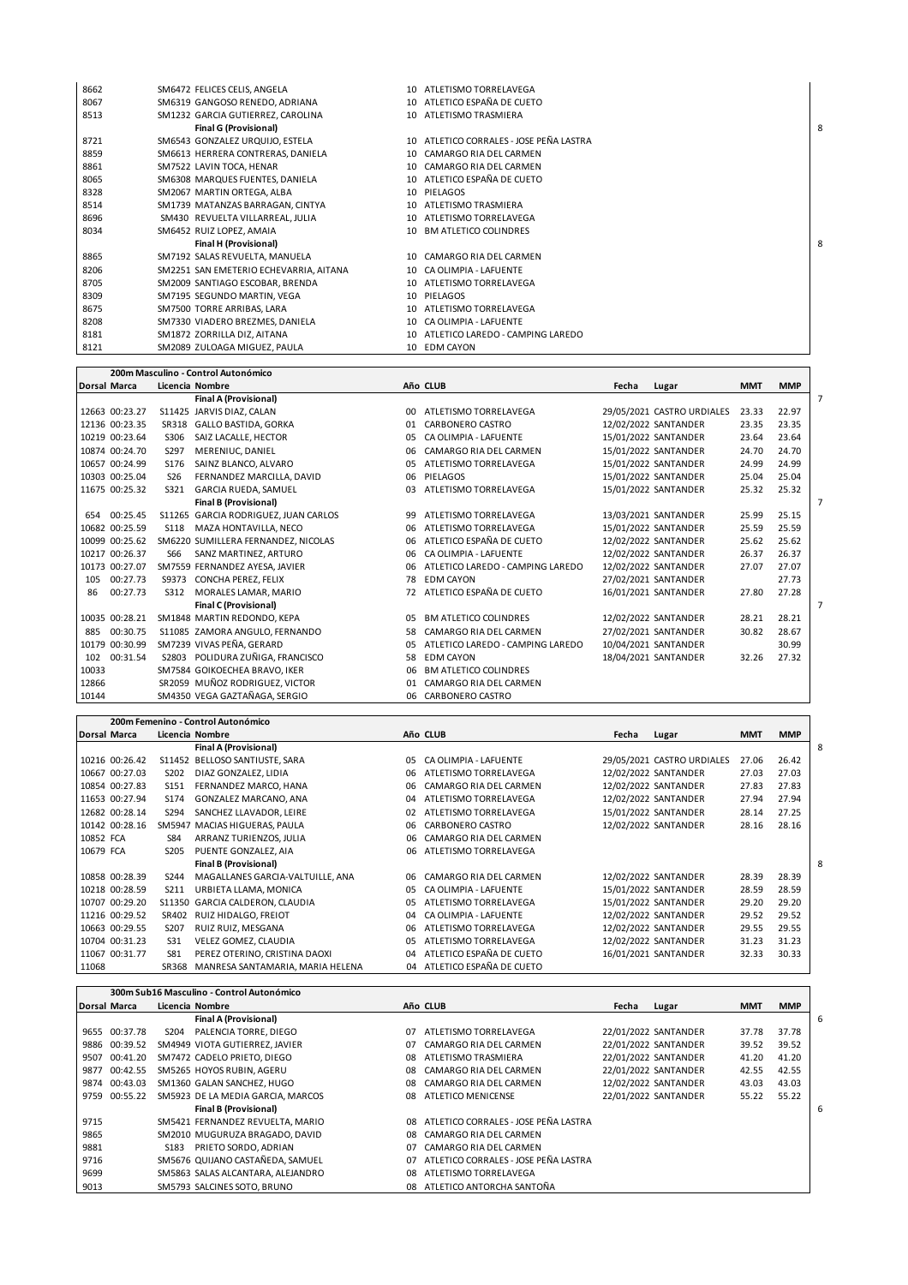| 8662 | SM6472 FELICES CELIS, ANGELA           |    | 10 ATLETISMO TORRELAVEGA                |   |
|------|----------------------------------------|----|-----------------------------------------|---|
| 8067 | SM6319 GANGOSO RENEDO, ADRIANA         |    | 10 ATLETICO ESPAÑA DE CUETO             |   |
| 8513 | SM1232 GARCIA GUTIERREZ, CAROLINA      |    | 10 ATLETISMO TRASMIERA                  |   |
|      | <b>Final G (Provisional)</b>           |    |                                         | 8 |
| 8721 | SM6543 GONZALEZ URQUIJO. ESTELA        |    | 10 ATLETICO CORRALES - JOSE PEÑA LASTRA |   |
| 8859 | SM6613 HERRERA CONTRERAS, DANIELA      |    | 10 CAMARGO RIA DEL CARMEN               |   |
| 8861 | SM7522 LAVIN TOCA, HENAR               |    | 10 CAMARGO RIA DEL CARMEN               |   |
| 8065 | SM6308 MARQUES FUENTES, DANIELA        |    | 10 ATLETICO ESPAÑA DE CUETO             |   |
| 8328 | SM2067 MARTIN ORTEGA, ALBA             |    | 10 PIELAGOS                             |   |
| 8514 | SM1739 MATANZAS BARRAGAN, CINTYA       | 10 | ATLETISMO TRASMIERA                     |   |
| 8696 | SM430 REVUELTA VILLARREAL, JULIA       | 10 | ATLETISMO TORRELAVEGA                   |   |
| 8034 | SM6452 RUIZ LOPEZ, AMAIA               |    | 10 BM ATLETICO COLINDRES                |   |
|      | Final H (Provisional)                  |    |                                         | 8 |
| 8865 | SM7192 SALAS REVUELTA, MANUELA         |    | 10 CAMARGO RIA DEL CARMEN               |   |
| 8206 | SM2251 SAN EMETERIO ECHEVARRIA, AITANA |    | 10 CA OLIMPIA - LAFUENTE                |   |
| 8705 | SM2009 SANTIAGO ESCOBAR, BRENDA        |    | 10 ATLETISMO TORRELAVEGA                |   |
| 8309 | SM7195 SEGUNDO MARTIN, VEGA            |    | 10 PIELAGOS                             |   |
| 8675 | SM7500 TORRE ARRIBAS, LARA             | 10 | ATLETISMO TORRELAVEGA                   |   |
| 8208 | SM7330 VIADERO BREZMES, DANIELA        |    | 10 CA OLIMPIA - LAFUENTE                |   |
| 8181 | SM1872 ZORRILLA DIZ, AITANA            | 10 | ATLETICO LAREDO - CAMPING LAREDO        |   |
| 8121 | SM2089 ZULOAGA MIGUEZ, PAULA           |    | 10 EDM CAYON                            |   |

|                     |                |             | 200m Masculino - Control Autonómico  |    |                                  |       |                            |            |            |
|---------------------|----------------|-------------|--------------------------------------|----|----------------------------------|-------|----------------------------|------------|------------|
| <b>Dorsal Marca</b> |                |             | Licencia Nombre                      |    | Año CLUB                         | Fecha | Lugar                      | <b>MMT</b> | <b>MMP</b> |
|                     |                |             | <b>Final A (Provisional)</b>         |    |                                  |       |                            |            |            |
|                     | 12663 00:23.27 |             | S11425 JARVIS DIAZ. CALAN            | 00 | ATLETISMO TORRELAVEGA            |       | 29/05/2021 CASTRO URDIALES | 23.33      | 22.97      |
|                     | 12136 00:23.35 | SR318       | GALLO BASTIDA, GORKA                 | 01 | CARBONERO CASTRO                 |       | 12/02/2022 SANTANDER       | 23.35      | 23.35      |
|                     | 10219 00:23.64 | <b>S306</b> | SAIZ LACALLE, HECTOR                 | 05 | CA OLIMPIA - LAFUENTE            |       | 15/01/2022 SANTANDER       | 23.64      | 23.64      |
|                     | 10874 00:24.70 | S297        | MERENIUC, DANIEL                     | 06 | CAMARGO RIA DEL CARMEN           |       | 15/01/2022 SANTANDER       | 24.70      | 24.70      |
|                     | 10657 00:24.99 | S176        | SAINZ BLANCO, ALVARO                 | 05 | ATLETISMO TORRELAVEGA            |       | 15/01/2022 SANTANDER       | 24.99      | 24.99      |
|                     | 10303 00:25.04 | <b>S26</b>  | FERNANDEZ MARCILLA, DAVID            | 06 | PIELAGOS                         |       | 15/01/2022 SANTANDER       | 25.04      | 25.04      |
|                     | 11675 00:25.32 | S321        | GARCIA RUEDA, SAMUEL                 | 03 | ATLETISMO TORRELAVEGA            |       | 15/01/2022 SANTANDER       | 25.32      | 25.32      |
|                     |                |             | <b>Final B (Provisional)</b>         |    |                                  |       |                            |            |            |
| 654                 | 00:25.45       |             | S11265 GARCIA RODRIGUEZ, JUAN CARLOS | 99 | ATLETISMO TORRELAVEGA            |       | 13/03/2021 SANTANDER       | 25.99      | 25.15      |
|                     | 10682 00:25.59 | S118        | MAZA HONTAVILLA, NECO                | 06 | ATLETISMO TORRELAVEGA            |       | 15/01/2022 SANTANDER       | 25.59      | 25.59      |
|                     | 10099 00:25.62 |             | SM6220 SUMILLERA FERNANDEZ. NICOLAS  | 06 | ATLETICO ESPAÑA DE CUETO         |       | 12/02/2022 SANTANDER       | 25.62      | 25.62      |
|                     | 10217 00:26.37 | S66         | SANZ MARTINEZ, ARTURO                | 06 | CA OLIMPIA - LAFUENTE            |       | 12/02/2022 SANTANDER       | 26.37      | 26.37      |
|                     | 10173 00:27.07 |             | SM7559 FERNANDEZ AYESA, JAVIER       | 06 | ATLETICO LAREDO - CAMPING LAREDO |       | 12/02/2022 SANTANDER       | 27.07      | 27.07      |
| 105                 | 00:27.73       |             | S9373 CONCHA PEREZ, FELIX            | 78 | <b>EDM CAYON</b>                 |       | 27/02/2021 SANTANDER       |            | 27.73      |
| 86                  | 00:27.73       | S312        | MORALES LAMAR, MARIO                 | 72 | ATLETICO ESPAÑA DE CUETO         |       | 16/01/2021 SANTANDER       | 27.80      | 27.28      |
|                     |                |             | <b>Final C (Provisional)</b>         |    |                                  |       |                            |            |            |
|                     | 10035 00:28.21 |             | SM1848 MARTIN REDONDO, KEPA          | 05 | <b>BM ATLETICO COLINDRES</b>     |       | 12/02/2022 SANTANDER       | 28.21      | 28.21      |
| 885                 | 00:30.75       |             | S11085 ZAMORA ANGULO, FERNANDO       | 58 | CAMARGO RIA DEL CARMEN           |       | 27/02/2021 SANTANDER       | 30.82      | 28.67      |
|                     | 10179 00:30.99 |             | SM7239 VIVAS PEÑA, GERARD            | 05 | ATLETICO LAREDO - CAMPING LAREDO |       | 10/04/2021 SANTANDER       |            | 30.99      |
| 102                 | 00:31.54       |             | S2803 POLIDURA ZUÑIGA, FRANCISCO     | 58 | <b>EDM CAYON</b>                 |       | 18/04/2021 SANTANDER       | 32.26      | 27.32      |
| 10033               |                |             | SM7584 GOIKOECHEA BRAVO, IKER        | 06 | <b>BM ATLETICO COLINDRES</b>     |       |                            |            |            |
| 12866               |                |             | SR2059 MUÑOZ RODRIGUEZ, VICTOR       | 01 | CAMARGO RIA DEL CARMEN           |       |                            |            |            |
| 10144               |                |             | SM4350 VEGA GAZTAÑAGA, SERGIO        | 06 | CARBONERO CASTRO                 |       |                            |            |            |

|              |                |                  | 200m Femenino - Control Autonómico |    |                          |       |                            |            |            |
|--------------|----------------|------------------|------------------------------------|----|--------------------------|-------|----------------------------|------------|------------|
| Dorsal Marca |                |                  | Licencia Nombre                    |    | Año CLUB                 | Fecha | Lugar                      | <b>MMT</b> | <b>MMP</b> |
|              |                |                  | <b>Final A (Provisional)</b>       |    |                          |       |                            |            |            |
|              | 10216 00:26.42 |                  | S11452 BELLOSO SANTIUSTE, SARA     | 05 | CA OLIMPIA - LAFUENTE    |       | 29/05/2021 CASTRO URDIALES | 27.06      | 26.42      |
|              | 10667 00:27.03 | S202             | DIAZ GONZALEZ. LIDIA               | 06 | ATLETISMO TORRELAVEGA    |       | 12/02/2022 SANTANDER       | 27.03      | 27.03      |
|              | 10854 00:27.83 | S151             | FERNANDEZ MARCO, HANA              | 06 | CAMARGO RIA DEL CARMEN   |       | 12/02/2022 SANTANDER       | 27.83      | 27.83      |
|              | 11653 00:27.94 | S <sub>174</sub> | GONZALEZ MARCANO, ANA              | 04 | ATLETISMO TORRELAVEGA    |       | 12/02/2022 SANTANDER       | 27.94      | 27.94      |
|              | 12682 00:28.14 | S294             | SANCHEZ LLAVADOR, LEIRE            | 02 | ATLETISMO TORRELAVEGA    |       | 15/01/2022 SANTANDER       | 28.14      | 27.25      |
|              | 10142 00:28.16 |                  | SM5947 MACIAS HIGUERAS, PAULA      | 06 | CARBONERO CASTRO         |       | 12/02/2022 SANTANDER       | 28.16      | 28.16      |
| 10852 FCA    |                | S84              | ARRANZ TURIENZOS, JULIA            | 06 | CAMARGO RIA DEL CARMEN   |       |                            |            |            |
| 10679 FCA    |                | S205             | PUENTE GONZALEZ, AIA               | 06 | ATLETISMO TORRELAVEGA    |       |                            |            |            |
|              |                |                  | <b>Final B (Provisional)</b>       |    |                          |       |                            |            |            |
|              | 10858 00:28.39 | S244             | MAGALLANES GARCIA-VALTUILLE, ANA   | 06 | CAMARGO RIA DEL CARMEN   |       | 12/02/2022 SANTANDER       | 28.39      | 28.39      |
|              | 10218 00:28.59 | S211             | URBIETA LLAMA, MONICA              | 05 | CA OLIMPIA - LAFUENTE    |       | 15/01/2022 SANTANDER       | 28.59      | 28.59      |
|              | 10707 00:29.20 |                  | S11350 GARCIA CALDERON, CLAUDIA    | 05 | ATLETISMO TORRELAVEGA    |       | 15/01/2022 SANTANDER       | 29.20      | 29.20      |
|              | 11216 00:29.52 | SR402            | RUIZ HIDALGO, FREIOT               | 04 | CA OLIMPIA - LAFUENTE    |       | 12/02/2022 SANTANDER       | 29.52      | 29.52      |
|              | 10663 00:29.55 | S207             | RUIZ RUIZ, MESGANA                 | 06 | ATLETISMO TORRELAVEGA    |       | 12/02/2022 SANTANDER       | 29.55      | 29.55      |
|              | 10704 00:31.23 | S31              | VELEZ GOMEZ, CLAUDIA               | 05 | ATLETISMO TORRELAVEGA    |       | 12/02/2022 SANTANDER       | 31.23      | 31.23      |
|              | 11067 00:31.77 | S81              | PEREZ OTERINO, CRISTINA DAOXI      | 04 | ATLETICO ESPAÑA DE CUETO |       | 16/01/2021 SANTANDER       | 32.33      | 30.33      |
| 11068        |                | SR368            | MANRESA SANTAMARIA, MARIA HELENA   | 04 | ATLETICO ESPAÑA DE CUETO |       |                            |            |            |

 $\mathbf{r}$ 

|      |                     | 300m Sub16 Masculino - Control Autonómico |           |                                         |       |                      |            |            |
|------|---------------------|-------------------------------------------|-----------|-----------------------------------------|-------|----------------------|------------|------------|
|      | <b>Dorsal Marca</b> | Licencia Nombre                           |           | Año CLUB                                | Fecha | Lugar                | <b>MMT</b> | <b>MMP</b> |
|      |                     | <b>Final A (Provisional)</b>              |           |                                         |       |                      |            |            |
|      | 9655 00:37.78       | PALENCIA TORRE, DIEGO<br>S204             | 07        | ATLETISMO TORRELAVEGA                   |       | 22/01/2022 SANTANDER | 37.78      | 37.78      |
|      | 9886 00:39.52       | SM4949 VIOTA GUTIERREZ, JAVIER            | 07        | CAMARGO RIA DEL CARMEN                  |       | 22/01/2022 SANTANDER | 39.52      | 39.52      |
| 9507 | 00:41.20            | SM7472 CADELO PRIETO, DIEGO               | 08        | ATLETISMO TRASMIERA                     |       | 22/01/2022 SANTANDER | 41.20      | 41.20      |
| 9877 | 00:42.55            | SM5265 HOYOS RUBIN, AGERU                 | 08        | CAMARGO RIA DEL CARMEN                  |       | 22/01/2022 SANTANDER | 42.55      | 42.55      |
|      | 9874 00:43.03       | SM1360 GALAN SANCHEZ, HUGO                | 08        | CAMARGO RIA DEL CARMEN                  |       | 12/02/2022 SANTANDER | 43.03      | 43.03      |
| 9759 | 00:55.22            | SM5923 DE LA MEDIA GARCIA, MARCOS         | 08        | ATLETICO MENICENSE                      |       | 22/01/2022 SANTANDER | 55.22      | 55.22      |
|      |                     | <b>Final B (Provisional)</b>              |           |                                         |       |                      |            |            |
| 9715 |                     | SM5421 FERNANDEZ REVUELTA, MARIO          |           | 08 ATLETICO CORRALES - JOSE PEÑA LASTRA |       |                      |            |            |
| 9865 |                     | SM2010 MUGURUZA BRAGADO, DAVID            | <b>08</b> | CAMARGO RIA DEL CARMEN                  |       |                      |            |            |
| 9881 |                     | PRIETO SORDO, ADRIAN<br>S183              | 07        | CAMARGO RIA DEL CARMEN                  |       |                      |            |            |
| 9716 |                     | SM5676 QUIJANO CASTAÑEDA, SAMUEL          | 07        | ATLETICO CORRALES - JOSE PEÑA LASTRA    |       |                      |            |            |
| 9699 |                     | SM5863 SALAS ALCANTARA, ALEJANDRO         | 08        | ATLETISMO TORRELAVEGA                   |       |                      |            |            |
| 9013 |                     | SM5793 SALCINES SOTO, BRUNO               | 08        | ATLETICO ANTORCHA SANTOÑA               |       |                      |            |            |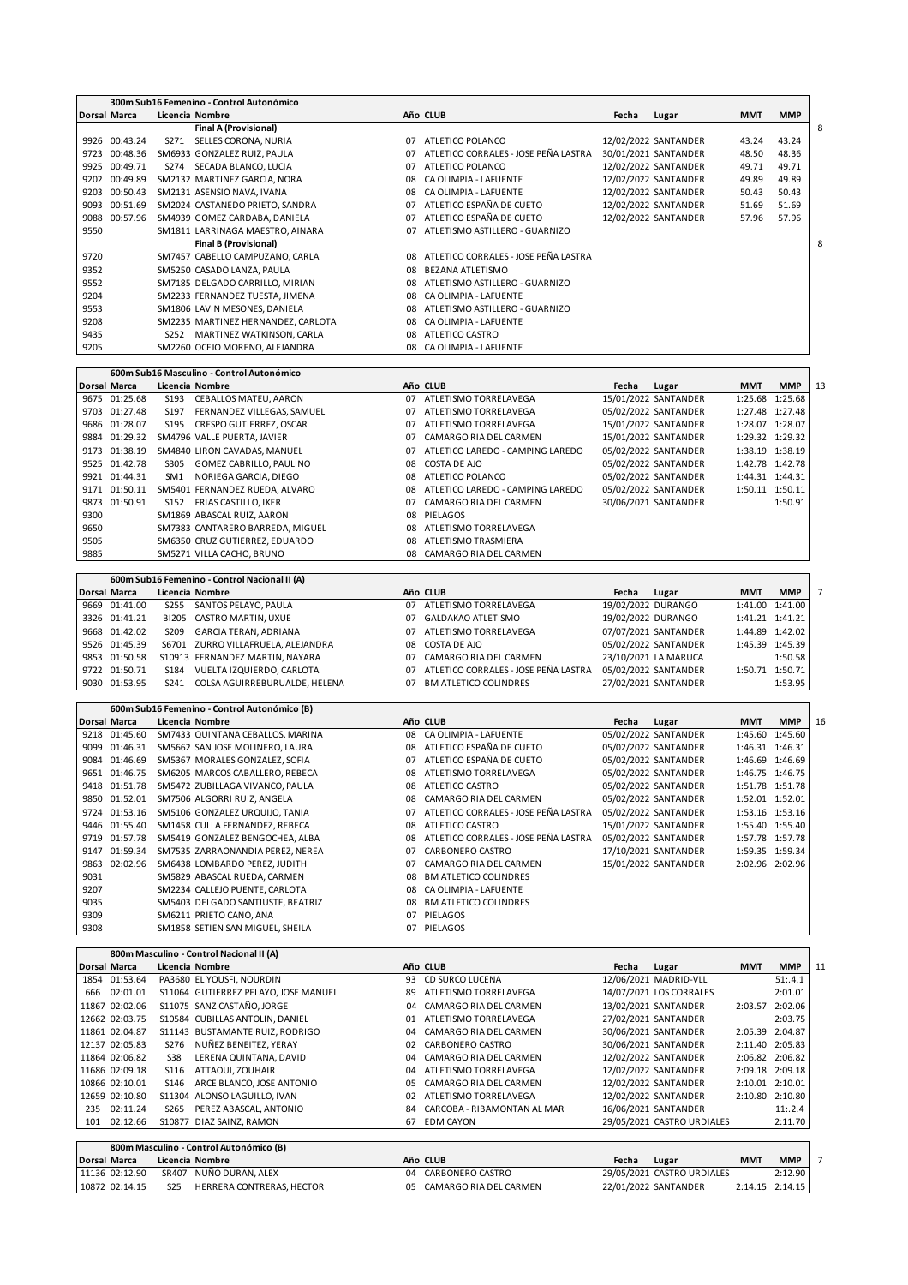|              |               |                  | 300m Sub16 Femenino - Control Autonómico |    |                                      |       |                      |            |            |
|--------------|---------------|------------------|------------------------------------------|----|--------------------------------------|-------|----------------------|------------|------------|
| Dorsal Marca |               |                  | Licencia Nombre                          |    | Año CLUB                             | Fecha | Lugar                | <b>MMT</b> | <b>MMP</b> |
|              |               |                  | Final A (Provisional)                    |    |                                      |       |                      |            |            |
|              | 9926 00:43.24 | S271             | SELLES CORONA, NURIA                     | 07 | ATLETICO POLANCO                     |       | 12/02/2022 SANTANDER | 43.24      | 43.24      |
| 9723         | 00:48.36      |                  | SM6933 GONZALEZ RUIZ, PAULA              | 07 | ATLETICO CORRALES - JOSE PEÑA LASTRA |       | 30/01/2021 SANTANDER | 48.50      | 48.36      |
| 9925         | 00:49.71      | S274             | SECADA BLANCO, LUCIA                     | 07 | ATLETICO POLANCO                     |       | 12/02/2022 SANTANDER | 49.71      | 49.71      |
| 9202         | 00:49.89      |                  | SM2132 MARTINEZ GARCIA, NORA             | 08 | CA OLIMPIA - LAFUENTE                |       | 12/02/2022 SANTANDER | 49.89      | 49.89      |
| 9203         | 00:50.43      |                  | SM2131 ASENSIO NAVA, IVANA               | 08 | CA OLIMPIA - LAFUENTE                |       | 12/02/2022 SANTANDER | 50.43      | 50.43      |
| 9093         | 00:51.69      |                  | SM2024 CASTANEDO PRIETO, SANDRA          | 07 | ATLETICO ESPAÑA DE CUETO             |       | 12/02/2022 SANTANDER | 51.69      | 51.69      |
| 9088         | 00:57.96      |                  | SM4939 GOMEZ CARDABA, DANIELA            | 07 | ATLETICO ESPAÑA DE CUETO             |       | 12/02/2022 SANTANDER | 57.96      | 57.96      |
| 9550         |               |                  | SM1811 LARRINAGA MAESTRO, AINARA         | 07 | ATLETISMO ASTILLERO - GUARNIZO       |       |                      |            |            |
|              |               |                  | <b>Final B (Provisional)</b>             |    |                                      |       |                      |            |            |
| 9720         |               |                  | SM7457 CABELLO CAMPUZANO, CARLA          | 08 | ATLETICO CORRALES - JOSE PEÑA LASTRA |       |                      |            |            |
| 9352         |               |                  | SM5250 CASADO LANZA, PAULA               | 08 | <b>BEZANA ATLETISMO</b>              |       |                      |            |            |
| 9552         |               |                  | SM7185 DELGADO CARRILLO, MIRIAN          | 08 | ATLETISMO ASTILLERO - GUARNIZO       |       |                      |            |            |
| 9204         |               |                  | SM2233 FERNANDEZ TUESTA, JIMENA          | 08 | CA OLIMPIA - LAFUENTE                |       |                      |            |            |
| 9553         |               |                  | SM1806 LAVIN MESONES, DANIELA            | 08 | ATLETISMO ASTILLERO - GUARNIZO       |       |                      |            |            |
| 9208         |               |                  | SM2235 MARTINEZ HERNANDEZ, CARLOTA       | 08 | CA OLIMPIA - LAFUENTE                |       |                      |            |            |
| 9435         |               | S <sub>252</sub> | MARTINEZ WATKINSON, CARLA                | 08 | ATLETICO CASTRO                      |       |                      |            |            |
| 9205         |               |                  | SM2260 OCEJO MORENO, ALEJANDRA           | 08 | CA OLIMPIA - LAFUENTE                |       |                      |            |            |

|              |               |                  | 600m Sub16 Masculino - Control Autonómico |    |                                  |       |                      |                 |                 |    |
|--------------|---------------|------------------|-------------------------------------------|----|----------------------------------|-------|----------------------|-----------------|-----------------|----|
| Dorsal Marca |               |                  | Licencia Nombre                           |    | Año CLUB                         | Fecha | Lugar                | <b>MMT</b>      | <b>MMP</b>      | 13 |
|              | 9675 01:25.68 | S <sub>193</sub> | CEBALLOS MATEU, AARON                     | 07 | ATLETISMO TORRELAVEGA            |       | 15/01/2022 SANTANDER |                 | 1:25.68 1:25.68 |    |
|              | 9703 01:27.48 | S197             | FERNANDEZ VILLEGAS, SAMUEL                | 07 | ATLETISMO TORRELAVEGA            |       | 05/02/2022 SANTANDER |                 | 1:27.48 1:27.48 |    |
|              | 9686 01:28.07 | S195             | CRESPO GUTIERREZ, OSCAR                   | 07 | ATLETISMO TORRELAVEGA            |       | 15/01/2022 SANTANDER |                 | 1:28.07 1:28.07 |    |
|              | 9884 01:29.32 |                  | SM4796 VALLE PUERTA, JAVIER               | 07 | CAMARGO RIA DEL CARMEN           |       | 15/01/2022 SANTANDER |                 | 1:29.32 1:29.32 |    |
|              | 9173 01:38.19 |                  | SM4840 LIRON CAVADAS, MANUEL              | 07 | ATLETICO LAREDO - CAMPING LAREDO |       | 05/02/2022 SANTANDER |                 | 1:38.19 1:38.19 |    |
|              | 9525 01:42.78 | S305             | GOMEZ CABRILLO, PAULINO                   | 08 | COSTA DE AJO                     |       | 05/02/2022 SANTANDER |                 | 1:42.78 1:42.78 |    |
|              | 9921 01:44.31 | SM1              | NORIEGA GARCIA, DIEGO                     | 08 | ATLETICO POLANCO                 |       | 05/02/2022 SANTANDER | 1:44.31 1:44.31 |                 |    |
|              | 9171 01:50.11 |                  | SM5401 FERNANDEZ RUEDA, ALVARO            | 08 | ATLETICO LAREDO - CAMPING LAREDO |       | 05/02/2022 SANTANDER | 1:50.11 1:50.11 |                 |    |
|              | 9873 01:50.91 | S <sub>152</sub> | FRIAS CASTILLO, IKER                      | 07 | CAMARGO RIA DEL CARMEN           |       | 30/06/2021 SANTANDER |                 | 1:50.91         |    |
| 9300         |               |                  | SM1869 ABASCAL RUIZ, AARON                | 08 | PIELAGOS                         |       |                      |                 |                 |    |
| 9650         |               |                  | SM7383 CANTARERO BARREDA, MIGUEL          | 08 | ATLETISMO TORRELAVEGA            |       |                      |                 |                 |    |
| 9505         |               |                  | SM6350 CRUZ GUTIERREZ, EDUARDO            | 08 | ATLETISMO TRASMIERA              |       |                      |                 |                 |    |
| 9885         |               |                  | SM5271 VILLA CACHO, BRUNO                 | 08 | CAMARGO RIA DEL CARMEN           |       |                      |                 |                 |    |

|                     |               |                  | 600m Sub16 Femenino - Control Nacional II (A) |    |                                      |                    |                      |            |                 |  |
|---------------------|---------------|------------------|-----------------------------------------------|----|--------------------------------------|--------------------|----------------------|------------|-----------------|--|
| <b>Dorsal Marca</b> |               |                  | Licencia Nombre                               |    | Año CLUB                             | Fecha              | Lugar                | <b>MMT</b> | <b>MMP</b>      |  |
|                     | 9669 01:41.00 | S255             | SANTOS PELAYO, PAULA                          | 07 | ATLETISMO TORRELAVEGA                | 19/02/2022 DURANGO |                      |            | 1:41.00 1:41.00 |  |
|                     | 3326 01:41.21 |                  | BI205 CASTRO MARTIN, UXUE                     |    | 07 GALDAKAO ATLETISMO                | 19/02/2022 DURANGO |                      |            | 1:41.21 1:41.21 |  |
|                     | 9668 01:42.02 | S <sub>209</sub> | GARCIA TERAN, ADRIANA                         | 07 | ATLETISMO TORRELAVEGA                |                    | 07/07/2021 SANTANDER |            | 1:44.89 1:42.02 |  |
|                     | 9526 01:45.39 |                  | S6701 ZURRO VILLAFRUELA, ALEJANDRA            |    | 08 COSTA DE AJO                      |                    | 05/02/2022 SANTANDER |            | 1:45.39 1:45.39 |  |
|                     | 9853 01:50.58 |                  | S10913 FERNANDEZ MARTIN, NAYARA               | 07 | CAMARGO RIA DEL CARMEN               |                    | 23/10/2021 LA MARUCA |            | 1:50.58         |  |
|                     | 9722 01:50.71 | S <sub>184</sub> | VUELTA IZQUIERDO, CARLOTA                     | 07 | ATLETICO CORRALES - JOSE PEÑA LASTRA |                    | 05/02/2022 SANTANDER |            | 1:50.71 1:50.71 |  |
|                     | 9030 01:53.95 | S <sub>241</sub> | COLSA AGUIRREBURUALDE. HELENA                 | 07 | <b>BM ATLETICO COLINDRES</b>         |                    | 27/02/2021 SANTANDER |            | 1:53.95         |  |

**600m Sub16 Femenino - Control Autonómico (B) Dorsal Marca Licencia Nombre Año CLUB Fecha Lugar MMT MMP** 16 9218 01:45.60 SM7433 QUINTANA CEBALLOS, MARINA 08 CA OLIMPIA - LAFUENTE 05/02/2022 SANTANDER 1:45.60 1:45.60<br>9299 01:46.31 SM5662 SAN JOSE MOLINERO, LAURA 08 ATLETICO ESPAÑA DE CUETO 05/02/2022 SANTANDER 1:46.31 1:46.31 01:46.31 SM5662 SAN JOSE MOLINERO, LAURA 08 ATLETICO ESPAÑA DE CUETO 05/02/2022 SANTANDER 1:46.31 1:46.31 01:46.69 SM5367 MORALES GONZALEZ, SOFIA 07 ATLETICO ESPAÑA DE CUETO 05/02/2022 SANTANDER 1:46.69 1:46.69 01:46.75 SM6205 MARCOS CABALLERO, REBECA 08 ATLETISMO TORRELAVEGA 05/02/2022 SANTANDER 1:46.75 1:46.75 01:51.78 SM5472 ZUBILLAGA VIVANCO, PAULA 08 ATLETICO CASTRO 05/02/2022 SANTANDER 1:51.78 1:51.78 9850 01:52.01 SM7506 ALGORRI RUIZ, ANGELA 08 CAMARGO RIA DEL CARMEN 01:53.16 SM5106 GONZALEZ URQUIJO, TANIA 07 ATLETICO CORRALES - JOSE PEÑA LASTRA 05/02/2022 SANTANDER 1:53.16 1:53.16 01:55.40 SM1458 CULLA FERNANDEZ, REBECA 08 ATLETICO CASTRO 15/01/2022 SANTANDER 1:55.40 1:55.40 01:57.78 SM5419 GONZALEZ BENGOCHEA, ALBA 08 ATLETICO CORRALES - JOSE PEÑA LASTRA 05/02/2022 SANTANDER 1:57.78 1:57.78 01:59.34 SM7535 ZARRAONANDIA PEREZ, NEREA 07 CARBONERO CASTRO 17/10/2021 SANTANDER 1:59.35 1:59.34 02:02.96 SM6438 LOMBARDO PEREZ, JUDITH 07 CAMARGO RIA DEL CARMEN 15/01/2022 SANTANDER 2:02.96 2:02.96 SM5829 ABASCAL RUEDA, CARMEN 08 BM ATLETICO COLINDRES SM2234 CALLEJO PUENTE, CARLOTA 9035 SM5403 DELGADO SANTIUSTE, BEATRIZ 08 BM ATLETICO COLINDRES 9309 SM6211 PRIETO CANO, ANA 07 PIELAGOS 9308 SM1858 SETIEN SAN MIGUEL, SHEILA 07 PIELAGOS

|     |                     | 800m Masculino - Control Nacional II (A)   |    |                             |       |                            |            |                 |    |
|-----|---------------------|--------------------------------------------|----|-----------------------------|-------|----------------------------|------------|-----------------|----|
|     | <b>Dorsal Marca</b> | Licencia Nombre                            |    | Año CLUB                    | Fecha | Lugar                      | <b>MMT</b> | <b>MMP</b>      | 11 |
|     | 1854 01:53.64       | PA3680 EL YOUSFI, NOURDIN                  | 93 | CD SURCO LUCENA             |       | 12/06/2021 MADRID-VLL      |            | 51:4.1          |    |
|     | 666 02:01.01        | S11064 GUTIERREZ PELAYO, JOSE MANUEL       | 89 | ATLETISMO TORRELAVEGA       |       | 14/07/2021 LOS CORRALES    |            | 2:01.01         |    |
|     | 11867 02:02.06      | S11075 SANZ CASTAÑO, JORGE                 | 04 | CAMARGO RIA DEL CARMEN      |       | 13/02/2021 SANTANDER       | 2:03.57    | 2:02.06         |    |
|     | 12662 02:03.75      | S10584 CUBILLAS ANTOLIN, DANIEL            | 01 | ATLETISMO TORRELAVEGA       |       | 27/02/2021 SANTANDER       |            | 2:03.75         |    |
|     | 11861 02:04.87      | S11143 BUSTAMANTE RUIZ, RODRIGO            | 04 | CAMARGO RIA DEL CARMEN      |       | 30/06/2021 SANTANDER       |            | 2:05.39 2:04.87 |    |
|     | 12137 02:05.83      | NUÑEZ BENEITEZ. YERAY<br>S276              | 02 | CARBONERO CASTRO            |       | 30/06/2021 SANTANDER       |            | 2:11.40 2:05.83 |    |
|     | 11864 02:06.82      | LERENA QUINTANA, DAVID<br>S38              | 04 | CAMARGO RIA DEL CARMEN      |       | 12/02/2022 SANTANDER       |            | 2:06.82 2:06.82 |    |
|     | 11686 02:09.18      | ATTAOUI, ZOUHAIR<br>S116                   | 04 | ATLETISMO TORRELAVEGA       |       | 12/02/2022 SANTANDER       |            | 2:09.18 2:09.18 |    |
|     | 10866 02:10.01      | ARCE BLANCO, JOSE ANTONIO<br>S146          | 05 | CAMARGO RIA DEL CARMEN      |       | 12/02/2022 SANTANDER       |            | 2:10.01 2:10.01 |    |
|     | 12659 02:10.80      | S11304 ALONSO LAGUILLO, IVAN               | 02 | ATLETISMO TORRELAVEGA       |       | 12/02/2022 SANTANDER       |            | 2:10.80 2:10.80 |    |
| 235 | 02:11.24            | PEREZ ABASCAL, ANTONIO<br>S <sub>265</sub> | 84 | CARCOBA - RIBAMONTAN AL MAR |       | 16/06/2021 SANTANDER       |            | 11:2.4          |    |
|     | 101 02:12.66        | S10877 DIAZ SAINZ, RAMON                   | 67 | <b>EDM CAYON</b>            |       | 29/05/2021 CASTRO URDIALES |            | 2:11.70         |    |
|     |                     |                                            |    |                             |       |                            |            |                 |    |
|     |                     | 800m Masculino - Control Autonómico (B)    |    |                             |       |                            |            |                 |    |

| <b>Dorsal Marca</b> |       | Licencia Nombre                  |    | Año CLUB               | Fecha | Lugar                      | <b>MMT</b> | <b>MMP</b> |  |
|---------------------|-------|----------------------------------|----|------------------------|-------|----------------------------|------------|------------|--|
| 11136 02:12.90      | SR407 | NUÑO DURAN. ALEX                 | 04 | CARBONERO CASTRO       |       | 29/05/2021 CASTRO URDIALES |            | 2:12.90    |  |
| 10872 02:14.15      | 525   | <b>HERRERA CONTRERAS, HECTOR</b> |    | CAMARGO RIA DEL CARMEN |       | 22/01/2022 SANTANDER       | 2.1415     | 2:14.15    |  |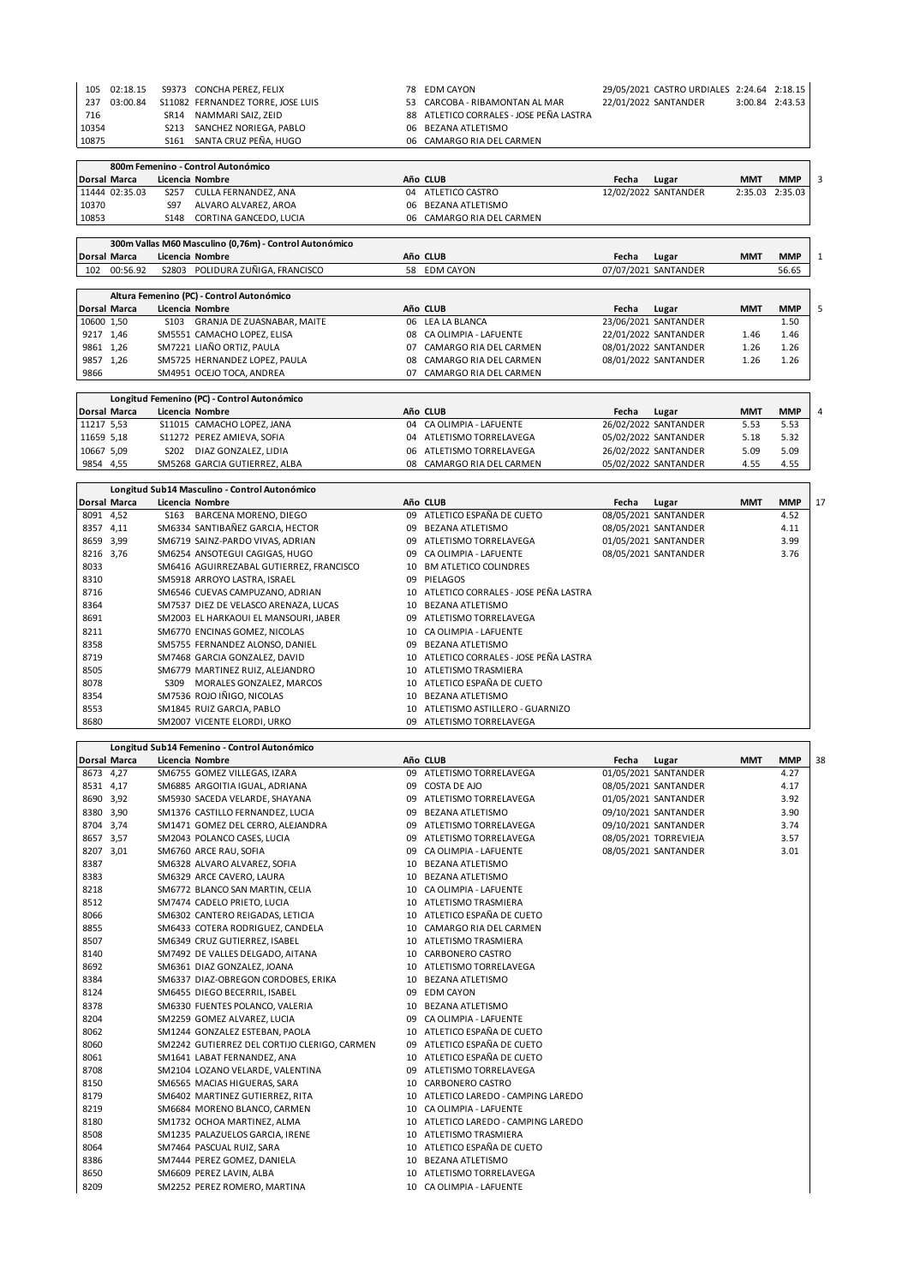| 22/01/2022 SANTANDER<br>S11082 FERNANDEZ TORRE, JOSE LUIS<br>53 CARCOBA - RIBAMONTAN AL MAR<br>237 03:00.84 | 3:00.84 2:43.53 |  |
|-------------------------------------------------------------------------------------------------------------|-----------------|--|
|                                                                                                             |                 |  |
| 88 ATLETICO CORRALES - JOSE PEÑA LASTRA<br>SR14 NAMMARI SAIZ. ZEID<br>716                                   |                 |  |
| 10354<br>S213 SANCHEZ NORIEGA, PABLO<br>06 BEZANA ATLETISMO                                                 |                 |  |
| S161 SANTA CRUZ PEÑA. HUGO<br>06 CAMARGO RIA DEL CARMEN<br>10875                                            |                 |  |

|            |                     |                  | 800m Femenino - Control Autonómico                     |    |                           |       |                      |            |            |
|------------|---------------------|------------------|--------------------------------------------------------|----|---------------------------|-------|----------------------|------------|------------|
|            | <b>Dorsal Marca</b> |                  | Licencia Nombre                                        |    | Año CLUB                  | Fecha | Lugar                | <b>MMT</b> | <b>MMP</b> |
|            | 11444 02:35.03      | S <sub>257</sub> | CULLA FERNANDEZ, ANA                                   | 04 | ATLETICO CASTRO           |       | 12/02/2022 SANTANDER | 2:35.03    | 2:35.03    |
| 10370      |                     | S97              | ALVARO ALVAREZ, AROA                                   | 06 | <b>BEZANA ATLETISMO</b>   |       |                      |            |            |
| 10853      |                     | S148             | CORTINA GANCEDO, LUCIA                                 |    | 06 CAMARGO RIA DEL CARMEN |       |                      |            |            |
|            |                     |                  |                                                        |    |                           |       |                      |            |            |
|            |                     |                  | 300m Vallas M60 Masculino (0,76m) - Control Autonómico |    |                           |       |                      |            |            |
|            | <b>Dorsal Marca</b> |                  | Licencia Nombre                                        |    | Año CLUB                  | Fecha | Lugar                | <b>MMT</b> | <b>MMP</b> |
| 102        | 00:56.92            |                  | S2803 POLIDURA ZUÑIGA, FRANCISCO                       | 58 | <b>EDM CAYON</b>          |       | 07/07/2021 SANTANDER |            | 56.65      |
|            |                     |                  |                                                        |    |                           |       |                      |            |            |
|            |                     |                  | Altura Femenino (PC) - Control Autonómico              |    |                           |       |                      |            |            |
|            | <b>Dorsal Marca</b> |                  | Licencia Nombre                                        |    | Año CLUB                  | Fecha | Lugar                | <b>MMT</b> | <b>MMP</b> |
| 10600 1,50 |                     |                  | S103 GRANJA DE ZUASNABAR, MAITE                        | 06 | LEA LA BLANCA             |       | 23/06/2021 SANTANDER |            | 1.50       |
|            | 9217 1,46           |                  | SM5551 CAMACHO LOPEZ, ELISA                            | 08 | CA OLIMPIA - LAFUENTE     |       | 22/01/2022 SANTANDER | 1.46       | 1.46       |
|            | 9861 1,26           |                  | SM7221 LIAÑO ORTIZ, PAULA                              | 07 | CAMARGO RIA DEL CARMEN    |       | 08/01/2022 SANTANDER | 1.26       | 1.26       |
|            | 9857 1,26           |                  | SM5725 HERNANDEZ LOPEZ, PAULA                          | 08 | CAMARGO RIA DEL CARMEN    |       | 08/01/2022 SANTANDER | 1.26       | 1.26       |
| 9866       |                     |                  | SM4951 OCEJO TOCA, ANDREA                              | 07 | CAMARGO RIA DEL CARMEN    |       |                      |            |            |
|            |                     |                  | Longitud Femenino (PC) - Control Autonómico            |    |                           |       |                      |            |            |
|            | <b>Dorsal Marca</b> |                  | Licencia Nombre                                        |    | Año CLUB                  | Fecha | Lugar                | <b>MMT</b> | <b>MMP</b> |
| 11217 5,53 |                     |                  | S11015 CAMACHO LOPEZ, JANA                             | 04 | CA OLIMPIA - LAFUENTE     |       | 26/02/2022 SANTANDER | 5.53       | 5.53       |
| 11659 5,18 |                     |                  | S11272 PEREZ AMIEVA, SOFIA                             | 04 | ATLETISMO TORRELAVEGA     |       | 05/02/2022 SANTANDER | 5.18       | 5.32       |
|            | 10667 5,09          | S202             | DIAZ GONZALEZ, LIDIA                                   | 06 | ATLETISMO TORRELAVEGA     |       | 26/02/2022 SANTANDER | 5.09       | 5.09       |
|            | 9854 4,55           |                  | SM5268 GARCIA GUTIERREZ, ALBA                          | 08 | CAMARGO RIA DEL CARMEN    |       | 05/02/2022 SANTANDER | 4.55       | 4.55       |

|           | <b>Dorsal Marca</b> |                  | Licencia Nombre                          |    | Año CLUB                                | Fecha | Lugar                | <b>MMT</b> | <b>MMP</b> | 17 |
|-----------|---------------------|------------------|------------------------------------------|----|-----------------------------------------|-------|----------------------|------------|------------|----|
| 8091 4,52 |                     | S <sub>163</sub> | BARCENA MORENO, DIEGO                    | 09 | ATLETICO ESPAÑA DE CUETO                |       | 08/05/2021 SANTANDER |            | 4.52       |    |
| 8357 4,11 |                     |                  | SM6334 SANTIBAÑEZ GARCIA, HECTOR         | 09 | <b>BEZANA ATLETISMO</b>                 |       | 08/05/2021 SANTANDER |            | 4.11       |    |
| 8659 3,99 |                     |                  | SM6719 SAINZ-PARDO VIVAS, ADRIAN         | 09 | ATLETISMO TORRELAVEGA                   |       | 01/05/2021 SANTANDER |            | 3.99       |    |
| 8216 3,76 |                     |                  | SM6254 ANSOTEGUI CAGIGAS, HUGO           | 09 | CA OLIMPIA - LAFUENTE                   |       | 08/05/2021 SANTANDER |            | 3.76       |    |
| 8033      |                     |                  | SM6416 AGUIRREZABAL GUTIERREZ, FRANCISCO | 10 | <b>BM ATLETICO COLINDRES</b>            |       |                      |            |            |    |
| 8310      |                     |                  | SM5918 ARROYO LASTRA, ISRAEL             | 09 | PIELAGOS                                |       |                      |            |            |    |
| 8716      |                     |                  | SM6546 CUEVAS CAMPUZANO, ADRIAN          |    | 10 ATLETICO CORRALES - JOSE PEÑA LASTRA |       |                      |            |            |    |
| 8364      |                     |                  | SM7537 DIEZ DE VELASCO ARENAZA, LUCAS    | 10 | BEZANA ATLETISMO                        |       |                      |            |            |    |
| 8691      |                     |                  | SM2003 EL HARKAOUI EL MANSOURI, JABER    | 09 | ATLETISMO TORRELAVEGA                   |       |                      |            |            |    |
| 8211      |                     |                  | SM6770 ENCINAS GOMEZ, NICOLAS            | 10 | CA OLIMPIA - LAFUENTE                   |       |                      |            |            |    |
| 8358      |                     |                  | SM5755 FERNANDEZ ALONSO, DANIEL          | 09 | <b>BEZANA ATLETISMO</b>                 |       |                      |            |            |    |
| 8719      |                     |                  | SM7468 GARCIA GONZALEZ, DAVID            |    | 10 ATLETICO CORRALES - JOSE PEÑA LASTRA |       |                      |            |            |    |
| 8505      |                     |                  | SM6779 MARTINEZ RUIZ, ALEJANDRO          |    | 10 ATLETISMO TRASMIERA                  |       |                      |            |            |    |
| 8078      |                     | S309             | MORALES GONZALEZ, MARCOS                 |    | 10 ATLETICO ESPAÑA DE CUETO             |       |                      |            |            |    |
| 8354      |                     |                  | SM7536 ROJO IÑIGO, NICOLAS               | 10 | BEZANA ATLETISMO                        |       |                      |            |            |    |
| 8553      |                     |                  | SM1845 RUIZ GARCIA, PABLO                | 10 | ATLETISMO ASTILLERO - GUARNIZO          |       |                      |            |            |    |
| 8680      |                     |                  | SM2007 VICENTE ELORDI, URKO              | 09 | ATLETISMO TORRELAVEGA                   |       |                      |            |            |    |

|           | Longitud Sub14 Femenino - Control Autonómico |                                              |    |                                     |       |                       |            |            |    |
|-----------|----------------------------------------------|----------------------------------------------|----|-------------------------------------|-------|-----------------------|------------|------------|----|
|           | Dorsal Marca                                 | Licencia Nombre                              |    | Año CLUB                            | Fecha | Lugar                 | <b>MMT</b> | <b>MMP</b> | 38 |
| 8673 4,27 |                                              | SM6755 GOMEZ VILLEGAS, IZARA                 |    | 09 ATLETISMO TORRELAVEGA            |       | 01/05/2021 SANTANDER  |            | 4.27       |    |
| 8531 4,17 |                                              | SM6885 ARGOITIA IGUAL, ADRIANA               |    | 09 COSTA DE AJO                     |       | 08/05/2021 SANTANDER  |            | 4.17       |    |
| 8690 3,92 |                                              | SM5930 SACEDA VELARDE, SHAYANA               |    | 09 ATLETISMO TORRELAVEGA            |       | 01/05/2021 SANTANDER  |            | 3.92       |    |
| 8380 3,90 |                                              | SM1376 CASTILLO FERNANDEZ, LUCIA             |    | 09 BEZANA ATLETISMO                 |       | 09/10/2021 SANTANDER  |            | 3.90       |    |
| 8704 3,74 |                                              | SM1471 GOMEZ DEL CERRO, ALEJANDRA            |    | 09 ATLETISMO TORRELAVEGA            |       | 09/10/2021 SANTANDER  |            | 3.74       |    |
| 8657 3,57 |                                              | SM2043 POLANCO CASES, LUCIA                  |    | 09 ATLETISMO TORRELAVEGA            |       | 08/05/2021 TORREVIEJA |            | 3.57       |    |
| 8207 3,01 |                                              | SM6760 ARCE RAU, SOFIA                       | 09 | CA OLIMPIA - LAFUENTE               |       | 08/05/2021 SANTANDER  |            | 3.01       |    |
| 8387      |                                              | SM6328 ALVARO ALVAREZ, SOFIA                 |    | 10 BEZANA ATLETISMO                 |       |                       |            |            |    |
| 8383      |                                              | SM6329 ARCE CAVERO, LAURA                    |    | 10 BEZANA ATLETISMO                 |       |                       |            |            |    |
| 8218      |                                              | SM6772 BLANCO SAN MARTIN, CELIA              |    | 10 CA OLIMPIA - LAFUENTE            |       |                       |            |            |    |
| 8512      |                                              | SM7474 CADELO PRIETO, LUCIA                  |    | 10 ATLETISMO TRASMIERA              |       |                       |            |            |    |
| 8066      |                                              | SM6302 CANTERO REIGADAS, LETICIA             |    | 10 ATLETICO ESPAÑA DE CUETO         |       |                       |            |            |    |
| 8855      |                                              | SM6433 COTERA RODRIGUEZ, CANDELA             |    | 10 CAMARGO RIA DEL CARMEN           |       |                       |            |            |    |
| 8507      |                                              | SM6349 CRUZ GUTIERREZ, ISABEL                |    | 10 ATLETISMO TRASMIERA              |       |                       |            |            |    |
| 8140      |                                              | SM7492 DE VALLES DELGADO, AITANA             |    | 10 CARBONERO CASTRO                 |       |                       |            |            |    |
| 8692      |                                              | SM6361 DIAZ GONZALEZ, JOANA                  |    | 10 ATLETISMO TORRELAVEGA            |       |                       |            |            |    |
| 8384      |                                              | SM6337 DIAZ-OBREGON CORDOBES, ERIKA          |    | 10 BEZANA ATLETISMO                 |       |                       |            |            |    |
| 8124      |                                              | SM6455 DIEGO BECERRIL, ISABEL                |    | 09 EDM CAYON                        |       |                       |            |            |    |
| 8378      |                                              | SM6330 FUENTES POLANCO, VALERIA              |    | 10 BEZANA ATLETISMO                 |       |                       |            |            |    |
| 8204      |                                              | SM2259 GOMEZ ALVAREZ, LUCIA                  |    | 09 CA OLIMPIA - LAFUENTE            |       |                       |            |            |    |
| 8062      |                                              | SM1244 GONZALEZ ESTEBAN, PAOLA               |    | 10 ATLETICO ESPAÑA DE CUETO         |       |                       |            |            |    |
| 8060      |                                              | SM2242 GUTIERREZ DEL CORTIJO CLERIGO, CARMEN |    | 09 ATLETICO ESPAÑA DE CUETO         |       |                       |            |            |    |
| 8061      |                                              | SM1641 LABAT FERNANDEZ, ANA                  |    | 10 ATLETICO ESPAÑA DE CUETO         |       |                       |            |            |    |
| 8708      |                                              | SM2104 LOZANO VELARDE, VALENTINA             | 09 | ATLETISMO TORRELAVEGA               |       |                       |            |            |    |
| 8150      |                                              | SM6565 MACIAS HIGUERAS, SARA                 | 10 | CARBONERO CASTRO                    |       |                       |            |            |    |
| 8179      |                                              | SM6402 MARTINEZ GUTIERREZ, RITA              |    | 10 ATLETICO LAREDO - CAMPING LAREDO |       |                       |            |            |    |
| 8219      |                                              | SM6684 MORENO BLANCO, CARMEN                 |    | 10 CA OLIMPIA - LAFUENTE            |       |                       |            |            |    |
| 8180      |                                              | SM1732 OCHOA MARTINEZ, ALMA                  |    | 10 ATLETICO LAREDO - CAMPING LAREDO |       |                       |            |            |    |
| 8508      |                                              | SM1235 PALAZUELOS GARCIA, IRENE              |    | 10 ATLETISMO TRASMIERA              |       |                       |            |            |    |
| 8064      |                                              | SM7464 PASCUAL RUIZ, SARA                    |    | 10 ATLETICO ESPAÑA DE CUETO         |       |                       |            |            |    |
| 8386      |                                              | SM7444 PEREZ GOMEZ, DANIELA                  |    | 10 BEZANA ATLETISMO                 |       |                       |            |            |    |
| 8650      |                                              | SM6609 PEREZ LAVIN, ALBA                     |    | 10 ATLETISMO TORRELAVEGA            |       |                       |            |            |    |
| 8209      |                                              | SM2252 PEREZ ROMERO, MARTINA                 |    | 10 CA OLIMPIA - LAFUENTE            |       |                       |            |            |    |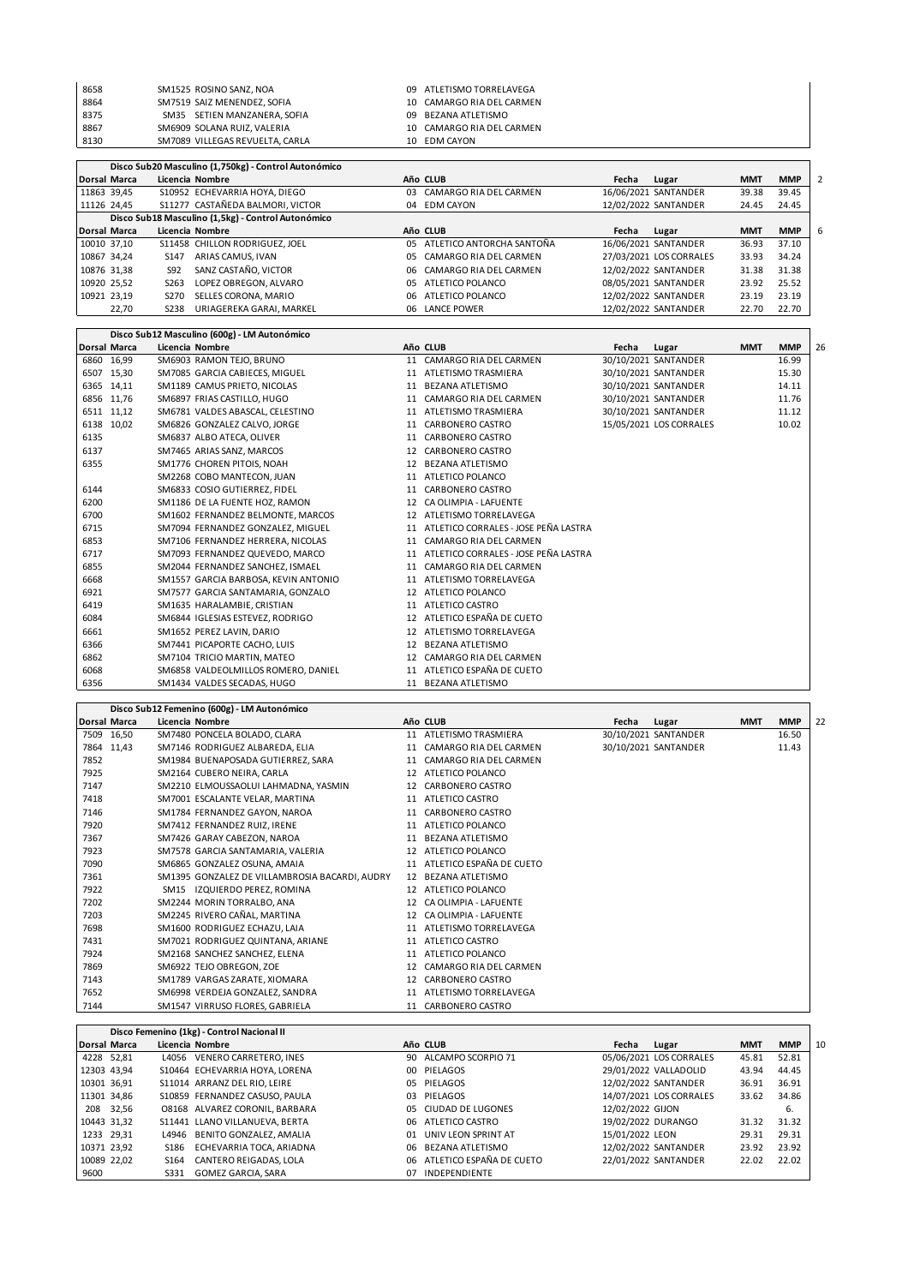| 8658 | SM1525 ROSINO SANZ, NOA         | 09 ATLETISMO TORRELAVEGA  |
|------|---------------------------------|---------------------------|
| 8864 | SM7519 SAIZ MENENDEZ, SOFIA     | 10 CAMARGO RIA DEL CARMEN |
| 8375 | SM35 SETIEN MANZANERA, SOFIA    | 09 BEZANA ATLETISMO       |
| 8867 | SM6909 SOLANA RUIZ, VALERIA     | 10 CAMARGO RIA DEL CARMEN |
| 8130 | SM7089 VILLEGAS REVUELTA, CARLA | 10 EDM CAYON              |

|                     | Disco Sub20 Masculino (1,750kg) - Control Autonómico |                  |                                                    |     |                           |       |                         |            |            |   |  |  |  |
|---------------------|------------------------------------------------------|------------------|----------------------------------------------------|-----|---------------------------|-------|-------------------------|------------|------------|---|--|--|--|
| <b>Dorsal Marca</b> |                                                      |                  | Licencia Nombre                                    |     | Año CLUB                  | Fecha | Lugar                   | <b>MMT</b> | <b>MMP</b> |   |  |  |  |
| 11863 39,45         |                                                      |                  | S10952 ECHEVARRIA HOYA, DIEGO                      | 03  | CAMARGO RIA DEL CARMEN    |       | 16/06/2021 SANTANDER    | 39.38      | 39.45      |   |  |  |  |
| 11126 24.45         |                                                      |                  | S11277 CASTAÑEDA BALMORI, VICTOR                   |     | 04 EDM CAYON              |       | 12/02/2022 SANTANDER    | 24.45      | 24.45      |   |  |  |  |
|                     |                                                      |                  | Disco Sub18 Masculino (1,5kg) - Control Autonómico |     |                           |       |                         |            |            |   |  |  |  |
| <b>Dorsal Marca</b> |                                                      |                  | Licencia Nombre                                    |     | Año CLUB                  | Fecha | Lugar                   | <b>MMT</b> | <b>MMP</b> | 6 |  |  |  |
| 10010 37,10         |                                                      |                  | S11458 CHILLON RODRIGUEZ, JOEL                     | ሰ5  | ATLETICO ANTORCHA SANTOÑA |       | 16/06/2021 SANTANDER    | 36.93      | 37.10      |   |  |  |  |
| 10867 34,24         |                                                      | S <sub>147</sub> | ARIAS CAMUS, IVAN                                  | 05  | CAMARGO RIA DEL CARMEN    |       | 27/03/2021 LOS CORRALES | 33.93      | 34.24      |   |  |  |  |
| 10876 31,38         |                                                      | S92              | SANZ CASTAÑO, VICTOR                               | 06  | CAMARGO RIA DEL CARMEN    |       | 12/02/2022 SANTANDER    | 31.38      | 31.38      |   |  |  |  |
| 10920 25,52         |                                                      | S <sub>263</sub> | LOPEZ OBREGON, ALVARO                              | ሰ5  | ATLETICO POLANCO          |       | 08/05/2021 SANTANDER    | 23.92      | 25.52      |   |  |  |  |
| 10921 23,19         |                                                      | S270             | SELLES CORONA, MARIO                               | റട  | ATLETICO POLANCO          |       | 12/02/2022 SANTANDER    | 23.19      | 23.19      |   |  |  |  |
|                     | 22,70                                                | S238             | URIAGEREKA GARAI, MARKEL                           | 06. | <b>LANCE POWER</b>        |       | 12/02/2022 SANTANDER    | 22.70      | 22.70      |   |  |  |  |

|                     |            | Disco Sub12 Masculino (600g) - LM Autonómico |    |                                      |       |                         |            |            |    |
|---------------------|------------|----------------------------------------------|----|--------------------------------------|-------|-------------------------|------------|------------|----|
| <b>Dorsal Marca</b> |            | Licencia Nombre                              |    | Año CLUB                             | Fecha | Lugar                   | <b>MMT</b> | <b>MMP</b> | 26 |
|                     | 6860 16,99 | SM6903 RAMON TEJO, BRUNO                     | 11 | CAMARGO RIA DEL CARMEN               |       | 30/10/2021 SANTANDER    |            | 16.99      |    |
|                     | 6507 15,30 | SM7085 GARCIA CABIECES, MIGUEL               | 11 | ATLETISMO TRASMIERA                  |       | 30/10/2021 SANTANDER    |            | 15.30      |    |
| 6365 14,11          |            | SM1189 CAMUS PRIETO, NICOLAS                 | 11 | <b>BEZANA ATLETISMO</b>              |       | 30/10/2021 SANTANDER    |            | 14.11      |    |
|                     | 6856 11,76 | SM6897 FRIAS CASTILLO, HUGO                  |    | CAMARGO RIA DEL CARMEN               |       | 30/10/2021 SANTANDER    |            | 11.76      |    |
|                     | 6511 11,12 | SM6781 VALDES ABASCAL, CELESTINO             | 11 | ATLETISMO TRASMIERA                  |       | 30/10/2021 SANTANDER    |            | 11.12      |    |
|                     | 6138 10,02 | SM6826 GONZALEZ CALVO, JORGE                 | 11 | CARBONERO CASTRO                     |       | 15/05/2021 LOS CORRALES |            | 10.02      |    |
| 6135                |            | SM6837 ALBO ATECA, OLIVER                    | 11 | CARBONERO CASTRO                     |       |                         |            |            |    |
| 6137                |            | SM7465 ARIAS SANZ, MARCOS                    | 12 | CARBONERO CASTRO                     |       |                         |            |            |    |
| 6355                |            | SM1776 CHOREN PITOIS, NOAH                   | 12 | <b>BEZANA ATLETISMO</b>              |       |                         |            |            |    |
|                     |            | SM2268 COBO MANTECON, JUAN                   | 11 | ATLETICO POLANCO                     |       |                         |            |            |    |
| 6144                |            | SM6833 COSIO GUTIERREZ, FIDEL                | 11 | CARBONERO CASTRO                     |       |                         |            |            |    |
| 6200                |            | SM1186 DE LA FUENTE HOZ, RAMON               | 12 | CA OLIMPIA - LAFUENTE                |       |                         |            |            |    |
| 6700                |            | SM1602 FERNANDEZ BELMONTE, MARCOS            |    | 12 ATLETISMO TORRELAVEGA             |       |                         |            |            |    |
| 6715                |            | SM7094 FERNANDEZ GONZALEZ, MIGUEL            | 11 | ATLETICO CORRALES - JOSE PEÑA LASTRA |       |                         |            |            |    |
| 6853                |            | SM7106 FERNANDEZ HERRERA, NICOLAS            | 11 | CAMARGO RIA DEL CARMEN               |       |                         |            |            |    |
| 6717                |            | SM7093 FERNANDEZ QUEVEDO, MARCO              | 11 | ATLETICO CORRALES - JOSE PEÑA LASTRA |       |                         |            |            |    |
| 6855                |            | SM2044 FERNANDEZ SANCHEZ, ISMAEL             | 11 | CAMARGO RIA DEL CARMEN               |       |                         |            |            |    |
| 6668                |            | SM1557 GARCIA BARBOSA, KEVIN ANTONIO         | 11 | ATLETISMO TORRELAVEGA                |       |                         |            |            |    |
| 6921                |            | SM7577 GARCIA SANTAMARIA, GONZALO            | 12 | ATLETICO POLANCO                     |       |                         |            |            |    |
| 6419                |            | SM1635 HARALAMBIE, CRISTIAN                  |    | 11 ATLETICO CASTRO                   |       |                         |            |            |    |
| 6084                |            | SM6844 IGLESIAS ESTEVEZ, RODRIGO             |    | 12 ATLETICO ESPAÑA DE CUETO          |       |                         |            |            |    |
| 6661                |            | SM1652 PEREZ LAVIN, DARIO                    |    | 12 ATLETISMO TORRELAVEGA             |       |                         |            |            |    |
| 6366                |            | SM7441 PICAPORTE CACHO, LUIS                 | 12 | BEZANA ATLETISMO                     |       |                         |            |            |    |
| 6862                |            | SM7104 TRICIO MARTIN, MATEO                  | 12 | CAMARGO RIA DEL CARMEN               |       |                         |            |            |    |
| 6068                |            | SM6858 VALDEOLMILLOS ROMERO, DANIEL          |    | 11 ATLETICO ESPAÑA DE CUETO          |       |                         |            |            |    |
| 6356                |            | SM1434 VALDES SECADAS, HUGO                  |    | 11 BEZANA ATLETISMO                  |       |                         |            |            |    |

|                     | Disco Sub12 Femenino (600g) - LM Autonómico |                                                |    |                          |       |                      |            |            |    |  |  |
|---------------------|---------------------------------------------|------------------------------------------------|----|--------------------------|-------|----------------------|------------|------------|----|--|--|
| <b>Dorsal Marca</b> |                                             | Licencia Nombre                                |    | Año CLUB                 | Fecha | Lugar                | <b>MMT</b> | <b>MMP</b> | 22 |  |  |
|                     | 7509 16,50                                  | SM7480 PONCELA BOLADO, CLARA                   |    | 11 ATLETISMO TRASMIERA   |       | 30/10/2021 SANTANDER |            | 16.50      |    |  |  |
|                     | 7864 11,43                                  | SM7146 RODRIGUEZ ALBAREDA, ELIA                | 11 | CAMARGO RIA DEL CARMEN   |       | 30/10/2021 SANTANDER |            | 11.43      |    |  |  |
| 7852                |                                             | SM1984 BUENAPOSADA GUTIERREZ, SARA             | 11 | CAMARGO RIA DEL CARMEN   |       |                      |            |            |    |  |  |
| 7925                |                                             | SM2164 CUBERO NEIRA, CARLA                     | 12 | ATLETICO POLANCO         |       |                      |            |            |    |  |  |
| 7147                |                                             | SM2210 ELMOUSSAOLUI LAHMADNA, YASMIN           | 12 | CARBONERO CASTRO         |       |                      |            |            |    |  |  |
| 7418                |                                             | SM7001 ESCALANTE VELAR, MARTINA                | 11 | ATLETICO CASTRO          |       |                      |            |            |    |  |  |
| 7146                |                                             | SM1784 FERNANDEZ GAYON, NAROA                  | 11 | CARBONERO CASTRO         |       |                      |            |            |    |  |  |
| 7920                |                                             | SM7412 FERNANDEZ RUIZ, IRENE                   | 11 | ATLETICO POLANCO         |       |                      |            |            |    |  |  |
| 7367                |                                             | SM7426 GARAY CABEZON, NAROA                    | 11 | <b>BEZANA ATLETISMO</b>  |       |                      |            |            |    |  |  |
| 7923                |                                             | SM7578 GARCIA SANTAMARIA, VALERIA              | 12 | ATLETICO POLANCO         |       |                      |            |            |    |  |  |
| 7090                |                                             | SM6865 GONZALEZ OSUNA, AMAIA                   | 11 | ATLETICO ESPAÑA DE CUETO |       |                      |            |            |    |  |  |
| 7361                |                                             | SM1395 GONZALEZ DE VILLAMBROSIA BACARDI, AUDRY |    | 12 BEZANA ATLETISMO      |       |                      |            |            |    |  |  |
| 7922                |                                             | IZQUIERDO PEREZ, ROMINA<br>SM15                |    | 12 ATLETICO POLANCO      |       |                      |            |            |    |  |  |
| 7202                |                                             | SM2244 MORIN TORRALBO, ANA                     | 12 | CA OLIMPIA - LAFUENTE    |       |                      |            |            |    |  |  |
| 7203                |                                             | SM2245 RIVERO CAÑAL, MARTINA                   | 12 | CA OLIMPIA - LAFUENTE    |       |                      |            |            |    |  |  |
| 7698                |                                             | SM1600 RODRIGUEZ ECHAZU. LAIA                  | 11 | ATLETISMO TORRELAVEGA    |       |                      |            |            |    |  |  |
| 7431                |                                             | SM7021 RODRIGUEZ QUINTANA, ARIANE              | 11 | ATLETICO CASTRO          |       |                      |            |            |    |  |  |
| 7924                |                                             | SM2168 SANCHEZ SANCHEZ. ELENA                  | 11 | ATLETICO POLANCO         |       |                      |            |            |    |  |  |
| 7869                |                                             | SM6922 TEJO OBREGON, ZOE                       | 12 | CAMARGO RIA DEL CARMEN   |       |                      |            |            |    |  |  |
| 7143                |                                             | SM1789 VARGAS ZARATE, XIOMARA                  | 12 | CARBONERO CASTRO         |       |                      |            |            |    |  |  |
| 7652                |                                             | SM6998 VERDEJA GONZALEZ, SANDRA                | 11 | ATLETISMO TORRELAVEGA    |       |                      |            |            |    |  |  |
| 7144                |                                             | SM1547 VIRRUSO FLORES, GABRIELA                | 11 | CARBONERO CASTRO         |       |                      |            |            |    |  |  |

 $\mathbf{r}$ 

|      | Disco Femenino (1kg) - Control Nacional II |                  |                                |    |                             |                  |                         |            |            |    |
|------|--------------------------------------------|------------------|--------------------------------|----|-----------------------------|------------------|-------------------------|------------|------------|----|
|      | <b>Dorsal Marca</b>                        |                  | Licencia Nombre                |    | Año CLUB                    | Fecha            | Lugar                   | <b>MMT</b> | <b>MMP</b> | 10 |
|      | 4228 52,81                                 |                  | L4056 VENERO CARRETERO, INES   |    | 90 ALCAMPO SCORPIO 71       |                  | 05/06/2021 LOS CORRALES | 45.81      | 52.81      |    |
|      | 12303 43,94                                |                  | S10464 ECHEVARRIA HOYA, LORENA |    | 00 PIELAGOS                 |                  | 29/01/2022 VALLADOLID   | 43.94      | 44.45      |    |
|      | 10301 36,91                                |                  | S11014 ARRANZ DEL RIO, LEIRE   |    | 05 PIELAGOS                 |                  | 12/02/2022 SANTANDER    | 36.91      | 36.91      |    |
|      | 11301 34,86                                |                  | S10859 FERNANDEZ CASUSO, PAULA | 03 | PIELAGOS                    |                  | 14/07/2021 LOS CORRALES | 33.62      | 34.86      |    |
|      | 208 32,56                                  |                  | 08168 ALVAREZ CORONIL, BARBARA |    | 05 CIUDAD DE LUGONES        | 12/02/2022 GIJON |                         |            | 6.         |    |
|      | 10443 31,32                                |                  | S11441 LLANO VILLANUEVA, BERTA |    | 06 ATLETICO CASTRO          |                  | 19/02/2022 DURANGO      | 31.32      | 31.32      |    |
|      | 1233 29,31                                 |                  | L4946 BENITO GONZALEZ, AMALIA  | 01 | UNIV LEON SPRINT AT         | 15/01/2022 LEON  |                         | 29.31      | 29.31      |    |
|      | 10371 23,92                                | S186             | ECHEVARRIA TOCA, ARIADNA       | 06 | BEZANA ATLETISMO            |                  | 12/02/2022 SANTANDER    | 23.92      | 23.92      |    |
|      | 10089 22,02                                | S <sub>164</sub> | CANTERO REIGADAS, LOLA         |    | 06 ATLETICO ESPAÑA DE CUETO |                  | 22/01/2022 SANTANDER    | 22.02      | 22.02      |    |
| 9600 |                                            | S331             | GOMEZ GARCIA, SARA             | 07 | <b>INDEPENDIENTE</b>        |                  |                         |            |            |    |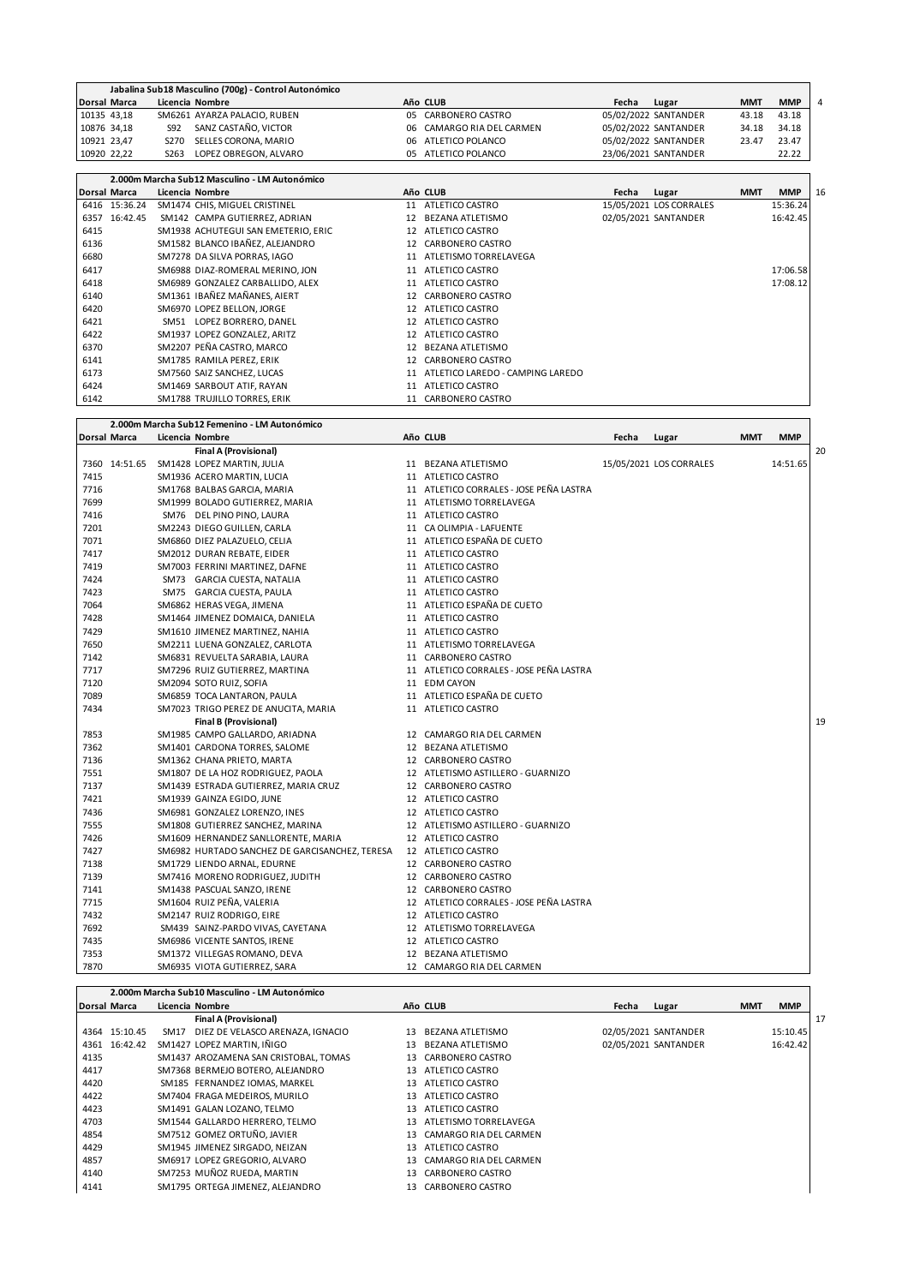|      |                     |                   | Jabalina Sub18 Masculino (700g) - Control Autonómico |    |                                  |       |                         |            |            |                |
|------|---------------------|-------------------|------------------------------------------------------|----|----------------------------------|-------|-------------------------|------------|------------|----------------|
|      | Dorsal Marca        |                   | Licencia Nombre                                      |    | Año CLUB                         | Fecha | Lugar                   | <b>MMT</b> | <b>MMP</b> | $\overline{4}$ |
|      | 10135 43,18         |                   | SM6261 AYARZA PALACIO, RUBEN                         | 05 | CARBONERO CASTRO                 |       | 05/02/2022 SANTANDER    | 43.18      | 43.18      |                |
|      | 10876 34,18         | S92               | SANZ CASTAÑO, VICTOR                                 | 06 | CAMARGO RIA DEL CARMEN           |       | 05/02/2022 SANTANDER    | 34.18      | 34.18      |                |
|      | 10921 23,47         | S270              | SELLES CORONA, MARIO                                 | 06 | ATLETICO POLANCO                 |       | 05/02/2022 SANTANDER    | 23.47      | 23.47      |                |
|      | 10920 22,22         | S <sub>26</sub> 3 | LOPEZ OBREGON, ALVARO                                | 05 | ATLETICO POLANCO                 |       | 23/06/2021 SANTANDER    |            | 22.22      |                |
|      |                     |                   |                                                      |    |                                  |       |                         |            |            |                |
|      |                     |                   | 2.000m Marcha Sub12 Masculino - LM Autonómico        |    |                                  |       |                         |            |            |                |
|      | <b>Dorsal Marca</b> |                   | Licencia Nombre                                      |    | Año CLUB                         | Fecha | Lugar                   | <b>MMT</b> | <b>MMP</b> | 16             |
|      | 6416 15:36.24       |                   | SM1474 CHIS, MIGUEL CRISTINEL                        | 11 | ATLETICO CASTRO                  |       | 15/05/2021 LOS CORRALES |            | 15:36.24   |                |
|      | 6357 16:42.45       |                   | SM142 CAMPA GUTIERREZ, ADRIAN                        | 12 | <b>BEZANA ATLETISMO</b>          |       | 02/05/2021 SANTANDER    |            | 16:42.45   |                |
| 6415 |                     |                   | SM1938 ACHUTEGUI SAN EMETERIO, ERIC                  | 12 | ATLETICO CASTRO                  |       |                         |            |            |                |
| 6136 |                     |                   | SM1582 BLANCO IBAÑEZ, ALEJANDRO                      | 12 | CARBONERO CASTRO                 |       |                         |            |            |                |
| 6680 |                     |                   | SM7278 DA SILVA PORRAS, IAGO                         | 11 | ATLETISMO TORRELAVEGA            |       |                         |            |            |                |
| 6417 |                     |                   | SM6988 DIAZ-ROMERAL MERINO, JON                      | 11 | ATLETICO CASTRO                  |       |                         |            | 17:06.58   |                |
| 6418 |                     |                   | SM6989 GONZALEZ CARBALLIDO, ALEX                     | 11 | ATLETICO CASTRO                  |       |                         |            | 17:08.12   |                |
| 6140 |                     |                   | SM1361 IBAÑEZ MAÑANES, AIERT                         | 12 | CARBONERO CASTRO                 |       |                         |            |            |                |
| 6420 |                     |                   | SM6970 LOPEZ BELLON, JORGE                           | 12 | ATLETICO CASTRO                  |       |                         |            |            |                |
| 6421 |                     |                   | SM51 LOPEZ BORRERO, DANEL                            | 12 | ATLETICO CASTRO                  |       |                         |            |            |                |
| 6422 |                     |                   | SM1937 LOPEZ GONZALEZ, ARITZ                         | 12 | ATLETICO CASTRO                  |       |                         |            |            |                |
| 6370 |                     |                   | SM2207 PEÑA CASTRO, MARCO                            | 12 | <b>BEZANA ATLETISMO</b>          |       |                         |            |            |                |
| 6141 |                     |                   | SM1785 RAMILA PEREZ, ERIK                            | 12 | CARBONERO CASTRO                 |       |                         |            |            |                |
| 6173 |                     |                   | SM7560 SAIZ SANCHEZ, LUCAS                           | 11 | ATLETICO LAREDO - CAMPING LAREDO |       |                         |            |            |                |
| 6424 |                     |                   | SM1469 SARBOUT ATIF, RAYAN                           | 11 | ATLETICO CASTRO                  |       |                         |            |            |                |
| 6142 |                     |                   | <b>SM1788 TRUJILLO TORRES, ERIK</b>                  | 11 | CARBONERO CASTRO                 |       |                         |            |            |                |

|      |               | 2.000m Marcha Sub12 Femenino - LM Autonómico   |                                         |       |                         |            |            |    |
|------|---------------|------------------------------------------------|-----------------------------------------|-------|-------------------------|------------|------------|----|
|      | Dorsal Marca  | Licencia Nombre                                | Año CLUB                                | Fecha | Lugar                   | <b>MMT</b> | <b>MMP</b> |    |
|      |               | Final A (Provisional)                          |                                         |       |                         |            |            | 20 |
|      | 7360 14:51.65 | SM1428 LOPEZ MARTIN, JULIA                     | 11 BEZANA ATLETISMO                     |       | 15/05/2021 LOS CORRALES |            | 14:51.65   |    |
| 7415 |               | SM1936 ACERO MARTIN, LUCIA                     | 11 ATLETICO CASTRO                      |       |                         |            |            |    |
| 7716 |               | SM1768 BALBAS GARCIA, MARIA                    | 11 ATLETICO CORRALES - JOSE PEÑA LASTRA |       |                         |            |            |    |
| 7699 |               | SM1999 BOLADO GUTIERREZ, MARIA                 | 11 ATLETISMO TORRELAVEGA                |       |                         |            |            |    |
| 7416 |               | SM76 DEL PINO PINO, LAURA                      | 11 ATLETICO CASTRO                      |       |                         |            |            |    |
| 7201 |               | SM2243 DIEGO GUILLEN, CARLA                    | 11 CA OLIMPIA - LAFUENTE                |       |                         |            |            |    |
| 7071 |               | SM6860 DIEZ PALAZUELO, CELIA                   | 11 ATLETICO ESPAÑA DE CUETO             |       |                         |            |            |    |
| 7417 |               | SM2012 DURAN REBATE, EIDER                     | 11 ATLETICO CASTRO                      |       |                         |            |            |    |
| 7419 |               | SM7003 FERRINI MARTINEZ, DAFNE                 | 11 ATLETICO CASTRO                      |       |                         |            |            |    |
| 7424 |               | SM73 GARCIA CUESTA, NATALIA                    | 11 ATLETICO CASTRO                      |       |                         |            |            |    |
| 7423 |               | SM75 GARCIA CUESTA, PAULA                      | 11 ATLETICO CASTRO                      |       |                         |            |            |    |
| 7064 |               | SM6862 HERAS VEGA, JIMENA                      | 11 ATLETICO ESPAÑA DE CUETO             |       |                         |            |            |    |
| 7428 |               | SM1464 JIMENEZ DOMAICA, DANIELA                | 11 ATLETICO CASTRO                      |       |                         |            |            |    |
| 7429 |               | SM1610 JIMENEZ MARTINEZ, NAHIA                 | 11 ATLETICO CASTRO                      |       |                         |            |            |    |
| 7650 |               | SM2211 LUENA GONZALEZ, CARLOTA                 | 11 ATLETISMO TORRELAVEGA                |       |                         |            |            |    |
| 7142 |               | SM6831 REVUELTA SARABIA, LAURA                 | 11 CARBONERO CASTRO                     |       |                         |            |            |    |
| 7717 |               | SM7296 RUIZ GUTIERREZ, MARTINA                 | 11 ATLETICO CORRALES - JOSE PEÑA LASTRA |       |                         |            |            |    |
| 7120 |               | SM2094 SOTO RUIZ, SOFIA                        | 11 EDM CAYON                            |       |                         |            |            |    |
| 7089 |               | SM6859 TOCA LANTARON, PAULA                    | 11 ATLETICO ESPAÑA DE CUETO             |       |                         |            |            |    |
| 7434 |               | SM7023 TRIGO PEREZ DE ANUCITA, MARIA           | 11 ATLETICO CASTRO                      |       |                         |            |            |    |
|      |               | <b>Final B (Provisional)</b>                   |                                         |       |                         |            |            | 19 |
| 7853 |               | SM1985 CAMPO GALLARDO, ARIADNA                 | 12 CAMARGO RIA DEL CARMEN               |       |                         |            |            |    |
| 7362 |               | SM1401 CARDONA TORRES, SALOME                  | 12 BEZANA ATLETISMO                     |       |                         |            |            |    |
| 7136 |               | SM1362 CHANA PRIETO, MARTA                     | 12 CARBONERO CASTRO                     |       |                         |            |            |    |
| 7551 |               | SM1807 DE LA HOZ RODRIGUEZ, PAOLA              | 12 ATLETISMO ASTILLERO - GUARNIZO       |       |                         |            |            |    |
| 7137 |               | SM1439 ESTRADA GUTIERREZ, MARIA CRUZ           | 12 CARBONERO CASTRO                     |       |                         |            |            |    |
| 7421 |               | SM1939 GAINZA EGIDO, JUNE                      | 12 ATLETICO CASTRO                      |       |                         |            |            |    |
| 7436 |               | SM6981 GONZALEZ LORENZO, INES                  | 12 ATLETICO CASTRO                      |       |                         |            |            |    |
| 7555 |               | SM1808 GUTIERREZ SANCHEZ, MARINA               | 12 ATLETISMO ASTILLERO - GUARNIZO       |       |                         |            |            |    |
| 7426 |               | SM1609 HERNANDEZ SANLLORENTE, MARIA            | 12 ATLETICO CASTRO                      |       |                         |            |            |    |
| 7427 |               | SM6982 HURTADO SANCHEZ DE GARCISANCHEZ, TERESA | 12 ATLETICO CASTRO                      |       |                         |            |            |    |
| 7138 |               | SM1729 LIENDO ARNAL, EDURNE                    | 12 CARBONERO CASTRO                     |       |                         |            |            |    |
| 7139 |               | SM7416 MORENO RODRIGUEZ, JUDITH                | 12 CARBONERO CASTRO                     |       |                         |            |            |    |
| 7141 |               | SM1438 PASCUAL SANZO, IRENE                    | 12 CARBONERO CASTRO                     |       |                         |            |            |    |
| 7715 |               | SM1604 RUIZ PEÑA, VALERIA                      | 12 ATLETICO CORRALES - JOSE PEÑA LASTRA |       |                         |            |            |    |
| 7432 |               | SM2147 RUIZ RODRIGO, EIRE                      | 12 ATLETICO CASTRO                      |       |                         |            |            |    |
| 7692 |               | SM439 SAINZ-PARDO VIVAS, CAYETANA              | 12 ATLETISMO TORRELAVEGA                |       |                         |            |            |    |
| 7435 |               | SM6986 VICENTE SANTOS, IRENE                   | 12 ATLETICO CASTRO                      |       |                         |            |            |    |
| 7353 |               | SM1372 VILLEGAS ROMANO, DEVA                   | 12 BEZANA ATLETISMO                     |       |                         |            |            |    |
| 7870 |               | SM6935 VIOTA GUTIERREZ, SARA                   | 12 CAMARGO RIA DEL CARMEN               |       |                         |            |            |    |

|                     | 2.000m Marcha Sub10 Masculino - LM Autonómico |      |                                       |     |                        |       |                      |            |            |    |
|---------------------|-----------------------------------------------|------|---------------------------------------|-----|------------------------|-------|----------------------|------------|------------|----|
| <b>Dorsal Marca</b> |                                               |      | Licencia Nombre                       |     | Año CLUB               | Fecha | Lugar                | <b>MMT</b> | <b>MMP</b> |    |
|                     |                                               |      | <b>Final A (Provisional)</b>          |     |                        |       |                      |            |            | 17 |
|                     | 4364 15:10.45                                 | SM17 | DIEZ DE VELASCO ARENAZA. IGNACIO      | 13  | BEZANA ATLETISMO       |       | 02/05/2021 SANTANDER |            | 15:10.45   |    |
|                     | 4361 16:42.42                                 |      | SM1427 LOPEZ MARTIN, IÑIGO            | 13  | BEZANA ATLETISMO       |       | 02/05/2021 SANTANDER |            | 16:42.42   |    |
| 4135                |                                               |      | SM1437 AROZAMENA SAN CRISTOBAL, TOMAS | 13  | CARBONERO CASTRO       |       |                      |            |            |    |
| 4417                |                                               |      | SM7368 BERMEJO BOTERO, ALEJANDRO      | 13  | ATLETICO CASTRO        |       |                      |            |            |    |
| 4420                |                                               |      | SM185 FERNANDEZ IOMAS, MARKEL         | 13  | ATLETICO CASTRO        |       |                      |            |            |    |
| 4422                |                                               |      | SM7404 FRAGA MEDEIROS, MURILO         | 13  | ATLETICO CASTRO        |       |                      |            |            |    |
| 4423                |                                               |      | SM1491 GALAN LOZANO, TELMO            | 13  | ATLETICO CASTRO        |       |                      |            |            |    |
| 4703                |                                               |      | SM1544 GALLARDO HERRERO, TELMO        | 13  | ATLETISMO TORRELAVEGA  |       |                      |            |            |    |
| 4854                |                                               |      | SM7512 GOMEZ ORTUÑO, JAVIER           | 13. | CAMARGO RIA DEL CARMEN |       |                      |            |            |    |
| 4429                |                                               |      | SM1945 JIMENEZ SIRGADO, NEIZAN        | 13  | ATLETICO CASTRO        |       |                      |            |            |    |
| 4857                |                                               |      | SM6917 LOPEZ GREGORIO, ALVARO         | 13  | CAMARGO RIA DEL CARMEN |       |                      |            |            |    |
| 4140                |                                               |      | SM7253 MUÑOZ RUEDA, MARTIN            | 13  | CARBONERO CASTRO       |       |                      |            |            |    |
| 4141                |                                               |      | SM1795 ORTEGA JIMENEZ, ALEJANDRO      | 13  | CARBONERO CASTRO       |       |                      |            |            |    |